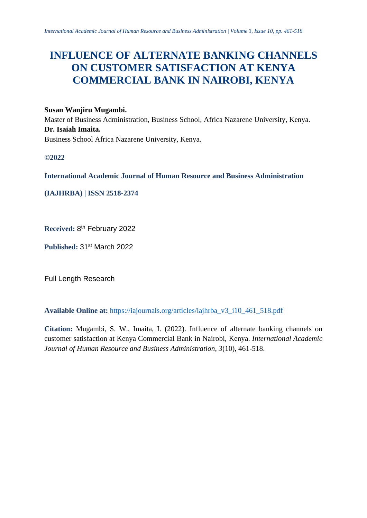# **INFLUENCE OF ALTERNATE BANKING CHANNELS ON CUSTOMER SATISFACTION AT KENYA COMMERCIAL BANK IN NAIROBI, KENYA**

## **Susan Wanjiru Mugambi.**

Master of Business Administration, Business School, Africa Nazarene University, Kenya. **Dr. Isaiah Imaita.** Business School Africa Nazarene University, Kenya.

**©2022**

**International Academic Journal of Human Resource and Business Administration**

**(IAJHRBA) | ISSN 2518-2374**

**Received:** 8 th February 2022

**Published:** 31st March 2022

Full Length Research

**Available Online at:** [https://iajournals.org/articles/iajhrba\\_v3\\_i10\\_461\\_518.pdf](https://iajournals.org/articles/iajhrba_v3_i10_461_518.pdf)

**Citation:** Mugambi, S. W., Imaita, I. (2022). Influence of alternate banking channels on customer satisfaction at Kenya Commercial Bank in Nairobi, Kenya. *International Academic Journal of Human Resource and Business Administration, 3*(10), 461-518.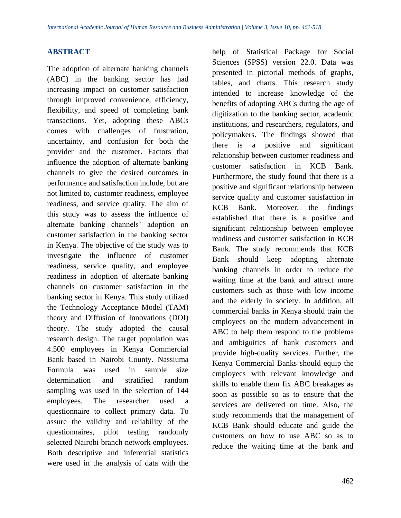# **ABSTRACT**

The adoption of alternate banking channels (ABC) in the banking sector has had increasing impact on customer satisfaction through improved convenience, efficiency, flexibility, and speed of completing bank transactions. Yet, adopting these ABCs comes with challenges of frustration, uncertainty, and confusion for both the provider and the customer. Factors that influence the adoption of alternate banking channels to give the desired outcomes in performance and satisfaction include, but are not limited to, customer readiness, employee readiness, and service quality. The aim of this study was to assess the influence of alternate banking channels' adoption on customer satisfaction in the banking sector in Kenya. The objective of the study was to investigate the influence of customer readiness, service quality, and employee readiness in adoption of alternate banking channels on customer satisfaction in the banking sector in Kenya. This study utilized the Technology Acceptance Model (TAM) theory and Diffusion of Innovations (DOI) theory. The study adopted the causal research design. The target population was 4.500 employees in Kenya Commercial Bank based in Nairobi County. Nassiuma Formula was used in sample size determination and stratified random sampling was used in the selection of 144 employees. The researcher used a questionnaire to collect primary data. To assure the validity and reliability of the questionnaires, pilot testing randomly selected Nairobi branch network employees. Both descriptive and inferential statistics were used in the analysis of data with the

help of Statistical Package for Social Sciences (SPSS) version 22.0. Data was presented in pictorial methods of graphs, tables, and charts. This research study intended to increase knowledge of the benefits of adopting ABCs during the age of digitization to the banking sector, academic institutions, and researchers, regulators, and policymakers. The findings showed that there is a positive and significant relationship between customer readiness and customer satisfaction in KCB Bank. Furthermore, the study found that there is a positive and significant relationship between service quality and customer satisfaction in KCB Bank. Moreover, the findings established that there is a positive and significant relationship between employee readiness and customer satisfaction in KCB Bank. The study recommends that KCB Bank should keep adopting alternate banking channels in order to reduce the waiting time at the bank and attract more customers such as those with low income and the elderly in society. In addition, all commercial banks in Kenya should train the employees on the modern advancement in ABC to help them respond to the problems and ambiguities of bank customers and provide high-quality services. Further, the Kenya Commercial Banks should equip the employees with relevant knowledge and skills to enable them fix ABC breakages as soon as possible so as to ensure that the services are delivered on time. Also, the study recommends that the management of KCB Bank should educate and guide the customers on how to use ABC so as to reduce the waiting time at the bank and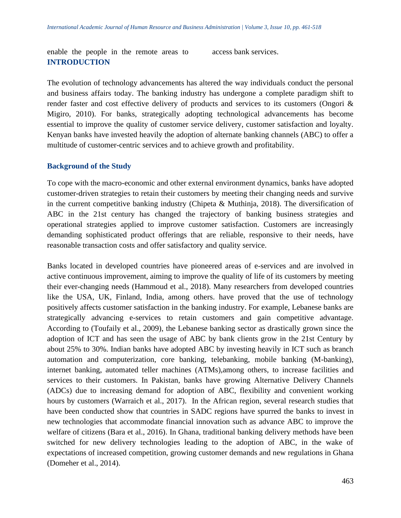enable the people in the remote areas to access bank services. **INTRODUCTION**

The evolution of technology advancements has altered the way individuals conduct the personal and business affairs today. The banking industry has undergone a complete paradigm shift to render faster and cost effective delivery of products and services to its customers (Ongori & Migiro, 2010). For banks, strategically adopting technological advancements has become essential to improve the quality of customer service delivery, customer satisfaction and loyalty. Kenyan banks have invested heavily the adoption of alternate banking channels (ABC) to offer a multitude of customer-centric services and to achieve growth and profitability.

#### **Background of the Study**

To cope with the macro-economic and other external environment dynamics, banks have adopted customer-driven strategies to retain their customers by meeting their changing needs and survive in the current competitive banking industry (Chipeta & Muthinja, 2018). The diversification of ABC in the 21st century has changed the trajectory of banking business strategies and operational strategies applied to improve customer satisfaction. Customers are increasingly demanding sophisticated product offerings that are reliable, responsive to their needs, have reasonable transaction costs and offer satisfactory and quality service.

Banks located in developed countries have pioneered areas of e-services and are involved in active continuous improvement, aiming to improve the quality of life of its customers by meeting their ever-changing needs (Hammoud et al., 2018). Many researchers from developed countries like the USA, UK, Finland, India, among others. have proved that the use of technology positively affects customer satisfaction in the banking industry. For example, Lebanese banks are strategically advancing e-services to retain customers and gain competitive advantage. According to (Toufaily et al., 2009), the Lebanese banking sector as drastically grown since the adoption of ICT and has seen the usage of ABC by bank clients grow in the 21st Century by about 25% to 30%. Indian banks have adopted ABC by investing heavily in ICT such as branch automation and computerization, core banking, telebanking, mobile banking (M-banking), internet banking, automated teller machines (ATMs),among others, to increase facilities and services to their customers. In Pakistan, banks have growing Alternative Delivery Channels (ADCs) due to increasing demand for adoption of ABC, flexibility and convenient working hours by customers (Warraich et al., 2017). In the African region, several research studies that have been conducted show that countries in SADC regions have spurred the banks to invest in new technologies that accommodate financial innovation such as advance ABC to improve the welfare of citizens (Bara et al., 2016). In Ghana, traditional banking delivery methods have been switched for new delivery technologies leading to the adoption of ABC, in the wake of expectations of increased competition, growing customer demands and new regulations in Ghana (Domeher et al., 2014).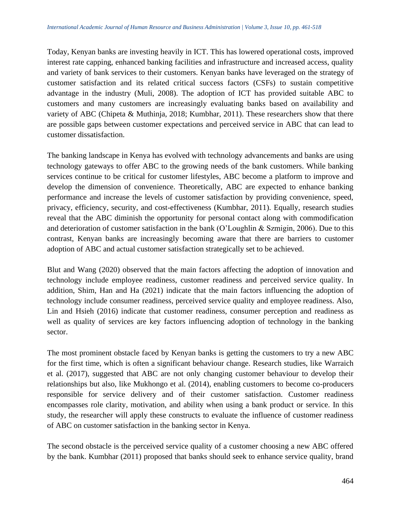Today, Kenyan banks are investing heavily in ICT. This has lowered operational costs, improved interest rate capping, enhanced banking facilities and infrastructure and increased access, quality and variety of bank services to their customers. Kenyan banks have leveraged on the strategy of customer satisfaction and its related critical success factors (CSFs) to sustain competitive advantage in the industry (Muli, 2008). The adoption of ICT has provided suitable ABC to customers and many customers are increasingly evaluating banks based on availability and variety of ABC (Chipeta & Muthinja, 2018; Kumbhar, 2011). These researchers show that there are possible gaps between customer expectations and perceived service in ABC that can lead to customer dissatisfaction.

The banking landscape in Kenya has evolved with technology advancements and banks are using technology gateways to offer ABC to the growing needs of the bank customers. While banking services continue to be critical for customer lifestyles, ABC become a platform to improve and develop the dimension of convenience. Theoretically, ABC are expected to enhance banking performance and increase the levels of customer satisfaction by providing convenience, speed, privacy, efficiency, security, and cost-effectiveness (Kumbhar, 2011). Equally, research studies reveal that the ABC diminish the opportunity for personal contact along with commodification and deterioration of customer satisfaction in the bank (O'Loughlin & Szmigin, 2006). Due to this contrast, Kenyan banks are increasingly becoming aware that there are barriers to customer adoption of ABC and actual customer satisfaction strategically set to be achieved.

Blut and Wang (2020) observed that the main factors affecting the adoption of innovation and technology include employee readiness, customer readiness and perceived service quality. In addition, Shim, Han and Ha (2021) indicate that the main factors influencing the adoption of technology include consumer readiness, perceived service quality and employee readiness. Also, Lin and Hsieh (2016) indicate that customer readiness, consumer perception and readiness as well as quality of services are key factors influencing adoption of technology in the banking sector.

The most prominent obstacle faced by Kenyan banks is getting the customers to try a new ABC for the first time, which is often a significant behaviour change. Research studies, like Warraich et al. (2017), suggested that ABC are not only changing customer behaviour to develop their relationships but also, like Mukhongo et al. (2014), enabling customers to become co-producers responsible for service delivery and of their customer satisfaction. Customer readiness encompasses role clarity, motivation, and ability when using a bank product or service. In this study, the researcher will apply these constructs to evaluate the influence of customer readiness of ABC on customer satisfaction in the banking sector in Kenya.

The second obstacle is the perceived service quality of a customer choosing a new ABC offered by the bank. Kumbhar (2011) proposed that banks should seek to enhance service quality, brand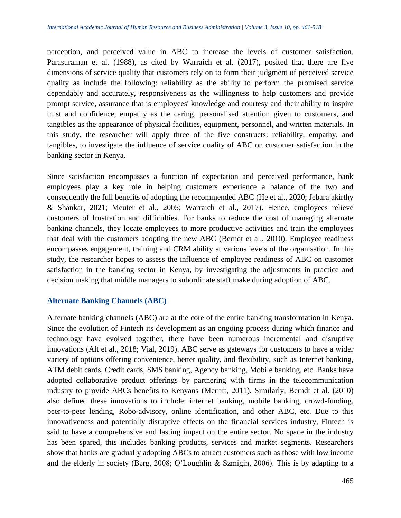perception, and perceived value in ABC to increase the levels of customer satisfaction. Parasuraman et al. (1988), as cited by Warraich et al. (2017), posited that there are five dimensions of service quality that customers rely on to form their judgment of perceived service quality as include the following: reliability as the ability to perform the promised service dependably and accurately, responsiveness as the willingness to help customers and provide prompt service, assurance that is employees' knowledge and courtesy and their ability to inspire trust and confidence, empathy as the caring, personalised attention given to customers, and tangibles as the appearance of physical facilities, equipment, personnel, and written materials. In this study, the researcher will apply three of the five constructs: reliability, empathy, and tangibles, to investigate the influence of service quality of ABC on customer satisfaction in the banking sector in Kenya.

Since satisfaction encompasses a function of expectation and perceived performance, bank employees play a key role in helping customers experience a balance of the two and consequently the full benefits of adopting the recommended ABC (He et al., 2020; Jebarajakirthy & Shankar, 2021; Meuter et al., 2005; Warraich et al., 2017). Hence, employees relieve customers of frustration and difficulties. For banks to reduce the cost of managing alternate banking channels, they locate employees to more productive activities and train the employees that deal with the customers adopting the new ABC (Berndt et al., 2010). Employee readiness encompasses engagement, training and CRM ability at various levels of the organisation. In this study, the researcher hopes to assess the influence of employee readiness of ABC on customer satisfaction in the banking sector in Kenya, by investigating the adjustments in practice and decision making that middle managers to subordinate staff make during adoption of ABC.

## **Alternate Banking Channels (ABC)**

Alternate banking channels (ABC) are at the core of the entire banking transformation in Kenya. Since the evolution of Fintech its development as an ongoing process during which finance and technology have evolved together, there have been numerous incremental and disruptive innovations (Alt et al., 2018; Vial, 2019). ABC serve as gateways for customers to have a wider variety of options offering convenience, better quality, and flexibility, such as Internet banking, ATM debit cards, Credit cards, SMS banking, Agency banking, Mobile banking, etc. Banks have adopted collaborative product offerings by partnering with firms in the telecommunication industry to provide ABCs benefits to Kenyans (Merritt, 2011). Similarly, Berndt et al. (2010) also defined these innovations to include: internet banking, mobile banking, crowd-funding, peer-to-peer lending, Robo-advisory, online identification, and other ABC, etc. Due to this innovativeness and potentially disruptive effects on the financial services industry, Fintech is said to have a comprehensive and lasting impact on the entire sector. No space in the industry has been spared, this includes banking products, services and market segments. Researchers show that banks are gradually adopting ABCs to attract customers such as those with low income and the elderly in society (Berg, 2008; O'Loughlin & Szmigin, 2006). This is by adapting to a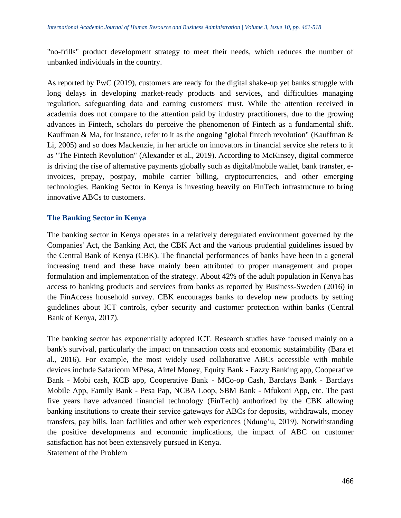"no-frills" product development strategy to meet their needs, which reduces the number of unbanked individuals in the country.

As reported by PwC (2019), customers are ready for the digital shake-up yet banks struggle with long delays in developing market-ready products and services, and difficulties managing regulation, safeguarding data and earning customers' trust. While the attention received in academia does not compare to the attention paid by industry practitioners, due to the growing advances in Fintech, scholars do perceive the phenomenon of Fintech as a fundamental shift. Kauffman & Ma, for instance, refer to it as the ongoing "global fintech revolution" (Kauffman & Li, 2005) and so does Mackenzie, in her article on innovators in financial service she refers to it as "The Fintech Revolution" (Alexander et al., 2019). According to McKinsey, digital commerce is driving the rise of alternative payments globally such as digital/mobile wallet, bank transfer, einvoices, prepay, postpay, mobile carrier billing, cryptocurrencies, and other emerging technologies. Banking Sector in Kenya is investing heavily on FinTech infrastructure to bring innovative ABCs to customers.

## **The Banking Sector in Kenya**

The banking sector in Kenya operates in a relatively deregulated environment governed by the Companies' Act, the Banking Act, the CBK Act and the various prudential guidelines issued by the Central Bank of Kenya (CBK). The financial performances of banks have been in a general increasing trend and these have mainly been attributed to proper management and proper formulation and implementation of the strategy. About 42% of the adult population in Kenya has access to banking products and services from banks as reported by Business-Sweden (2016) in the FinAccess household survey. CBK encourages banks to develop new products by setting guidelines about ICT controls, cyber security and customer protection within banks (Central Bank of Kenya, 2017).

The banking sector has exponentially adopted ICT. Research studies have focused mainly on a bank's survival, particularly the impact on transaction costs and economic sustainability (Bara et al., 2016). For example, the most widely used collaborative ABCs accessible with mobile devices include Safaricom MPesa, Airtel Money, Equity Bank - Eazzy Banking app, Cooperative Bank - Mobi cash, KCB app, Cooperative Bank - MCo-op Cash, Barclays Bank - Barclays Mobile App, Family Bank - Pesa Pap, NCBA Loop, SBM Bank - Mfukoni App, etc. The past five years have advanced financial technology (FinTech) authorized by the CBK allowing banking institutions to create their service gateways for ABCs for deposits, withdrawals, money transfers, pay bills, loan facilities and other web experiences (Ndung'u, 2019). Notwithstanding the positive developments and economic implications, the impact of ABC on customer satisfaction has not been extensively pursued in Kenya.

Statement of the Problem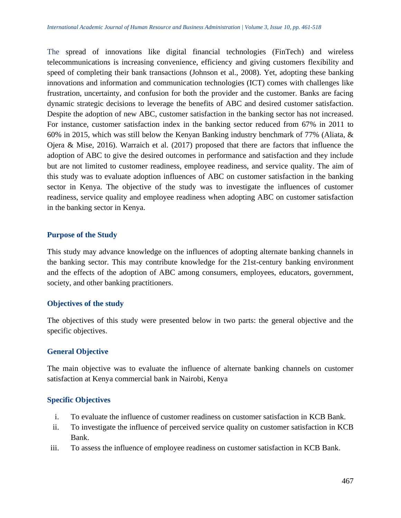The spread of innovations like digital financial technologies (FinTech) and wireless telecommunications is increasing convenience, efficiency and giving customers flexibility and speed of completing their bank transactions (Johnson et al., 2008). Yet, adopting these banking innovations and information and communication technologies (ICT) comes with challenges like frustration, uncertainty, and confusion for both the provider and the customer. Banks are facing dynamic strategic decisions to leverage the benefits of ABC and desired customer satisfaction. Despite the adoption of new ABC, customer satisfaction in the banking sector has not increased. For instance, customer satisfaction index in the banking sector reduced from 67% in 2011 to 60% in 2015, which was still below the Kenyan Banking industry benchmark of 77% (Aliata, & Ojera & Mise, 2016). Warraich et al. (2017) proposed that there are factors that influence the adoption of ABC to give the desired outcomes in performance and satisfaction and they include but are not limited to customer readiness, employee readiness, and service quality. The aim of this study was to evaluate adoption influences of ABC on customer satisfaction in the banking sector in Kenya. The objective of the study was to investigate the influences of customer readiness, service quality and employee readiness when adopting ABC on customer satisfaction in the banking sector in Kenya.

## **Purpose of the Study**

This study may advance knowledge on the influences of adopting alternate banking channels in the banking sector. This may contribute knowledge for the 21st-century banking environment and the effects of the adoption of ABC among consumers, employees, educators, government, society, and other banking practitioners.

## **Objectives of the study**

The objectives of this study were presented below in two parts: the general objective and the specific objectives.

## **General Objective**

The main objective was to evaluate the influence of alternate banking channels on customer satisfaction at Kenya commercial bank in Nairobi, Kenya

## **Specific Objectives**

- i. To evaluate the influence of customer readiness on customer satisfaction in KCB Bank.
- ii. To investigate the influence of perceived service quality on customer satisfaction in KCB Bank.
- iii. To assess the influence of employee readiness on customer satisfaction in KCB Bank.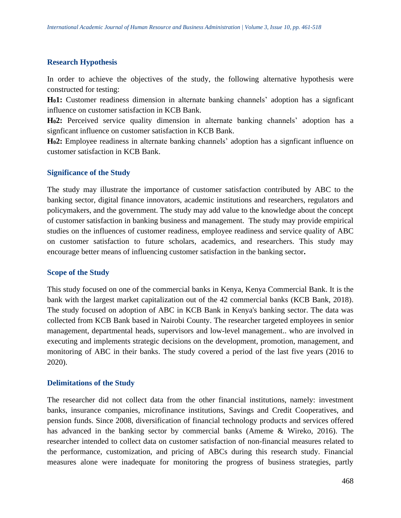#### **Research Hypothesis**

In order to achieve the objectives of the study, the following alternative hypothesis were constructed for testing:

**H01:** Customer readiness dimension in alternate banking channels' adoption has a signficant influence on customer satisfaction in KCB Bank.

**H02:** Perceived service quality dimension in alternate banking channels' adoption has a signficant influence on customer satisfaction in KCB Bank.

**H02:** Employee readiness in alternate banking channels' adoption has a signficant influence on customer satisfaction in KCB Bank.

#### **Significance of the Study**

The study may illustrate the importance of customer satisfaction contributed by ABC to the banking sector, digital finance innovators, academic institutions and researchers, regulators and policymakers, and the government. The study may add value to the knowledge about the concept of customer satisfaction in banking business and management. The study may provide empirical studies on the influences of customer readiness, employee readiness and service quality of ABC on customer satisfaction to future scholars, academics, and researchers. This study may encourage better means of influencing customer satisfaction in the banking sector**.**

#### **Scope of the Study**

This study focused on one of the commercial banks in Kenya, Kenya Commercial Bank. It is the bank with the largest market capitalization out of the 42 commercial banks (KCB Bank, 2018). The study focused on adoption of ABC in KCB Bank in Kenya's banking sector. The data was collected from KCB Bank based in Nairobi County. The researcher targeted employees in senior management, departmental heads, supervisors and low-level management.. who are involved in executing and implements strategic decisions on the development, promotion, management, and monitoring of ABC in their banks. The study covered a period of the last five years (2016 to 2020).

#### **Delimitations of the Study**

The researcher did not collect data from the other financial institutions, namely: investment banks, insurance companies, microfinance institutions, Savings and Credit Cooperatives, and pension funds. Since 2008, diversification of financial technology products and services offered has advanced in the banking sector by commercial banks (Ameme & Wireko, 2016). The researcher intended to collect data on customer satisfaction of non-financial measures related to the performance, customization, and pricing of ABCs during this research study. Financial measures alone were inadequate for monitoring the progress of business strategies, partly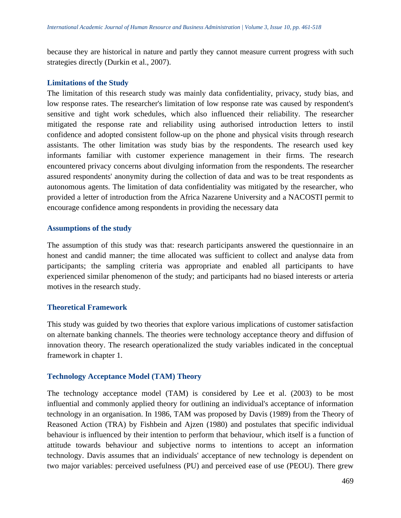because they are historical in nature and partly they cannot measure current progress with such strategies directly (Durkin et al., 2007).

## **Limitations of the Study**

The limitation of this research study was mainly data confidentiality, privacy, study bias, and low response rates. The researcher's limitation of low response rate was caused by respondent's sensitive and tight work schedules, which also influenced their reliability. The researcher mitigated the response rate and reliability using authorised introduction letters to instil confidence and adopted consistent follow-up on the phone and physical visits through research assistants. The other limitation was study bias by the respondents. The research used key informants familiar with customer experience management in their firms. The research encountered privacy concerns about divulging information from the respondents. The researcher assured respondents' anonymity during the collection of data and was to be treat respondents as autonomous agents. The limitation of data confidentiality was mitigated by the researcher, who provided a letter of introduction from the Africa Nazarene University and a NACOSTI permit to encourage confidence among respondents in providing the necessary data

## **Assumptions of the study**

The assumption of this study was that: research participants answered the questionnaire in an honest and candid manner; the time allocated was sufficient to collect and analyse data from participants; the sampling criteria was appropriate and enabled all participants to have experienced similar phenomenon of the study; and participants had no biased interests or arteria motives in the research study.

## **Theoretical Framework**

This study was guided by two theories that explore various implications of customer satisfaction on alternate banking channels. The theories were technology acceptance theory and diffusion of innovation theory. The research operationalized the study variables indicated in the conceptual framework in chapter 1.

## **Technology Acceptance Model (TAM) Theory**

The technology acceptance model (TAM) is considered by Lee et al. (2003) to be most influential and commonly applied theory for outlining an individual's acceptance of information technology in an organisation. In 1986, TAM was proposed by Davis (1989) from the Theory of Reasoned Action (TRA) by Fishbein and Ajzen (1980) and postulates that specific individual behaviour is influenced by their intention to perform that behaviour, which itself is a function of attitude towards behaviour and subjective norms to intentions to accept an information technology. Davis assumes that an individuals' acceptance of new technology is dependent on two major variables: perceived usefulness (PU) and perceived ease of use (PEOU). There grew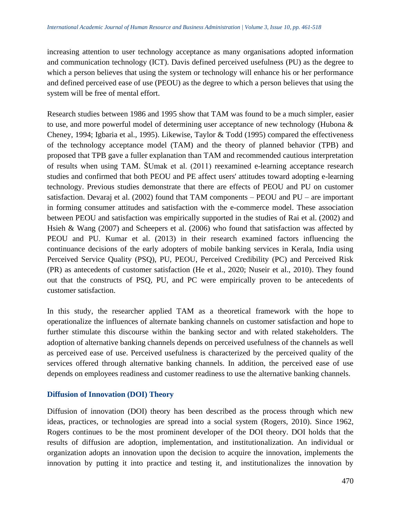increasing attention to user technology acceptance as many organisations adopted information and communication technology (ICT). Davis defined perceived usefulness (PU) as the degree to which a person believes that using the system or technology will enhance his or her performance and defined perceived ease of use (PEOU) as the degree to which a person believes that using the system will be free of mental effort.

Research studies between 1986 and 1995 show that TAM was found to be a much simpler, easier to use, and more powerful model of determining user acceptance of new technology (Hubona & Cheney, 1994; Igbaria et al., 1995). Likewise, Taylor & Todd (1995) compared the effectiveness of the technology acceptance model (TAM) and the theory of planned behavior (TPB) and proposed that TPB gave a fuller explanation than TAM and recommended cautious interpretation of results when using TAM. ŠUmak et al. (2011) reexamined e-learning acceptance research studies and confirmed that both PEOU and PE affect users' attitudes toward adopting e-learning technology. Previous studies demonstrate that there are effects of PEOU and PU on customer satisfaction. Devaraj et al. (2002) found that TAM components – PEOU and PU – are important in forming consumer attitudes and satisfaction with the e-commerce model. These association between PEOU and satisfaction was empirically supported in the studies of Rai et al. (2002) and Hsieh & Wang (2007) and Scheepers et al. (2006) who found that satisfaction was affected by PEOU and PU. Kumar et al. (2013) in their research examined factors influencing the continuance decisions of the early adopters of mobile banking services in Kerala, India using Perceived Service Quality (PSQ), PU, PEOU, Perceived Credibility (PC) and Perceived Risk (PR) as antecedents of customer satisfaction (He et al., 2020; Nuseir et al., 2010). They found out that the constructs of PSQ, PU, and PC were empirically proven to be antecedents of customer satisfaction.

In this study, the researcher applied TAM as a theoretical framework with the hope to operationalize the influences of alternate banking channels on customer satisfaction and hope to further stimulate this discourse within the banking sector and with related stakeholders. The adoption of alternative banking channels depends on perceived usefulness of the channels as well as perceived ease of use. Perceived usefulness is characterized by the perceived quality of the services offered through alternative banking channels. In addition, the perceived ease of use depends on employees readiness and customer readiness to use the alternative banking channels.

# **Diffusion of Innovation (DOI) Theory**

Diffusion of innovation (DOI) theory has been described as the process through which new ideas, practices, or technologies are spread into a social system (Rogers, 2010). Since 1962, Rogers continues to be the most prominent developer of the DOI theory. DOI holds that the results of diffusion are adoption, implementation, and institutionalization. An individual or organization adopts an innovation upon the decision to acquire the innovation, implements the innovation by putting it into practice and testing it, and institutionalizes the innovation by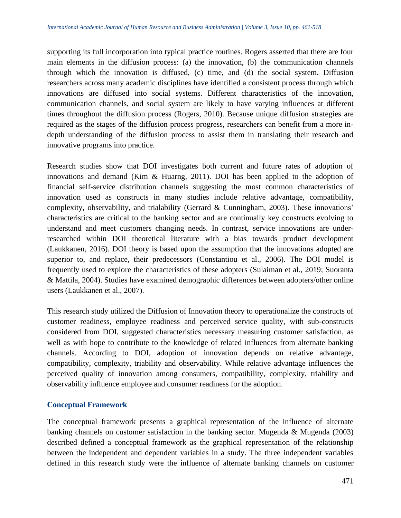supporting its full incorporation into typical practice routines. Rogers asserted that there are four main elements in the diffusion process: (a) the innovation, (b) the communication channels through which the innovation is diffused, (c) time, and (d) the social system. Diffusion researchers across many academic disciplines have identified a consistent process through which innovations are diffused into social systems. Different characteristics of the innovation, communication channels, and social system are likely to have varying influences at different times throughout the diffusion process (Rogers, 2010). Because unique diffusion strategies are required as the stages of the diffusion process progress, researchers can benefit from a more indepth understanding of the diffusion process to assist them in translating their research and innovative programs into practice.

Research studies show that DOI investigates both current and future rates of adoption of innovations and demand (Kim & Huarng, 2011). DOI has been applied to the adoption of financial self-service distribution channels suggesting the most common characteristics of innovation used as constructs in many studies include relative advantage, compatibility, complexity, observability, and trialability (Gerrard & Cunningham, 2003). These innovations' characteristics are critical to the banking sector and are continually key constructs evolving to understand and meet customers changing needs. In contrast, service innovations are underresearched within DOI theoretical literature with a bias towards product development (Laukkanen, 2016). DOI theory is based upon the assumption that the innovations adopted are superior to, and replace, their predecessors (Constantiou et al., 2006). The DOI model is frequently used to explore the characteristics of these adopters (Sulaiman et al., 2019; Suoranta & Mattila, 2004). Studies have examined demographic differences between adopters/other online users (Laukkanen et al., 2007).

This research study utilized the Diffusion of Innovation theory to operationalize the constructs of customer readiness, employee readiness and perceived service quality, with sub-constructs considered from DOI, suggested characteristics necessary measuring customer satisfaction, as well as with hope to contribute to the knowledge of related influences from alternate banking channels. According to DOI, adoption of innovation depends on relative advantage, compatibility, complexity, triability and observability. While relative advantage influences the perceived quality of innovation among consumers, compatibility, complexity, triability and observability influence employee and consumer readiness for the adoption.

## **Conceptual Framework**

The conceptual framework presents a graphical representation of the influence of alternate banking channels on customer satisfaction in the banking sector. Mugenda  $&$  Mugenda (2003) described defined a conceptual framework as the graphical representation of the relationship between the independent and dependent variables in a study. The three independent variables defined in this research study were the influence of alternate banking channels on customer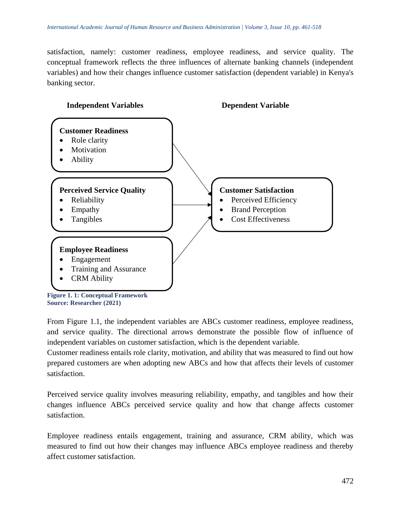satisfaction, namely: customer readiness, employee readiness, and service quality. The conceptual framework reflects the three influences of alternate banking channels (independent variables) and how their changes influence customer satisfaction (dependent variable) in Kenya's banking sector.



From Figure 1.1, the independent variables are ABCs customer readiness, employee readiness, and service quality. The directional arrows demonstrate the possible flow of influence of independent variables on customer satisfaction, which is the dependent variable.

Customer readiness entails role clarity, motivation, and ability that was measured to find out how prepared customers are when adopting new ABCs and how that affects their levels of customer satisfaction.

Perceived service quality involves measuring reliability, empathy, and tangibles and how their changes influence ABCs perceived service quality and how that change affects customer satisfaction.

Employee readiness entails engagement, training and assurance, CRM ability, which was measured to find out how their changes may influence ABCs employee readiness and thereby affect customer satisfaction.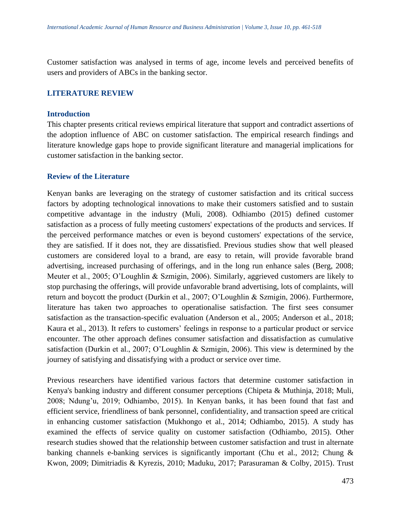Customer satisfaction was analysed in terms of age, income levels and perceived benefits of users and providers of ABCs in the banking sector.

#### **LITERATURE REVIEW**

#### **Introduction**

This chapter presents critical reviews empirical literature that support and contradict assertions of the adoption influence of ABC on customer satisfaction. The empirical research findings and literature knowledge gaps hope to provide significant literature and managerial implications for customer satisfaction in the banking sector.

#### **Review of the Literature**

Kenyan banks are leveraging on the strategy of customer satisfaction and its critical success factors by adopting technological innovations to make their customers satisfied and to sustain competitive advantage in the industry (Muli, 2008). Odhiambo (2015) defined customer satisfaction as a process of fully meeting customers' expectations of the products and services. If the perceived performance matches or even is beyond customers' expectations of the service, they are satisfied. If it does not, they are dissatisfied. Previous studies show that well pleased customers are considered loyal to a brand, are easy to retain, will provide favorable brand advertising, increased purchasing of offerings, and in the long run enhance sales (Berg, 2008; Meuter et al., 2005; O'Loughlin & Szmigin, 2006). Similarly, aggrieved customers are likely to stop purchasing the offerings, will provide unfavorable brand advertising, lots of complaints, will return and boycott the product (Durkin et al., 2007; O'Loughlin & Szmigin, 2006). Furthermore, literature has taken two approaches to operationalise satisfaction. The first sees consumer satisfaction as the transaction-specific evaluation (Anderson et al., 2005; Anderson et al., 2018; Kaura et al., 2013). It refers to customers' feelings in response to a particular product or service encounter. The other approach defines consumer satisfaction and dissatisfaction as cumulative satisfaction (Durkin et al., 2007; O'Loughlin & Szmigin, 2006). This view is determined by the journey of satisfying and dissatisfying with a product or service over time.

Previous researchers have identified various factors that determine customer satisfaction in Kenya's banking industry and different consumer perceptions (Chipeta & Muthinja, 2018; Muli, 2008; Ndung'u, 2019; Odhiambo, 2015). In Kenyan banks, it has been found that fast and efficient service, friendliness of bank personnel, confidentiality, and transaction speed are critical in enhancing customer satisfaction (Mukhongo et al., 2014; Odhiambo, 2015). A study has examined the effects of service quality on customer satisfaction (Odhiambo, 2015). Other research studies showed that the relationship between customer satisfaction and trust in alternate banking channels e-banking services is significantly important (Chu et al., 2012; Chung & Kwon, 2009; Dimitriadis & Kyrezis, 2010; Maduku, 2017; Parasuraman & Colby, 2015). Trust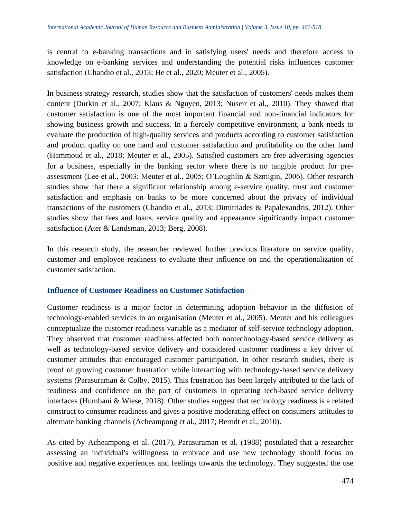is central to e-banking transactions and in satisfying users' needs and therefore access to knowledge on e-banking services and understanding the potential risks influences customer satisfaction (Chandio et al., 2013; He et al., 2020; Meuter et al., 2005).

In business strategy research, studies show that the satisfaction of customers' needs makes them content (Durkin et al., 2007; Klaus & Nguyen, 2013; Nuseir et al., 2010). They showed that customer satisfaction is one of the most important financial and non-financial indicators for showing business growth and success. In a fiercely competitive environment, a bank needs to evaluate the production of high-quality services and products according to customer satisfaction and product quality on one hand and customer satisfaction and profitability on the other hand (Hammoud et al., 2018; Meuter et al., 2005). Satisfied customers are free advertising agencies for a business, especially in the banking sector where there is no tangible product for preassessment (Lee et al., 2003; Meuter et al., 2005; O'Loughlin & Szmigin, 2006). Other research studies show that there a significant relationship among e-service quality, trust and customer satisfaction and emphasis on banks to be more concerned about the privacy of individual transactions of the customers (Chandio et al., 2013; Dimitriades & Papalexandris, 2012). Other studies show that fees and loans, service quality and appearance significantly impact customer satisfaction (Ater & Landsman, 2013; Berg, 2008).

In this research study, the researcher reviewed further previous literature on service quality, customer and employee readiness to evaluate their influence on and the operationalization of customer satisfaction.

## **Influence of Customer Readiness on Customer Satisfaction**

Customer readiness is a major factor in determining adoption behavior in the diffusion of technology-enabled services in an organisation (Meuter et al., 2005). Meuter and his colleagues conceptualize the customer readiness variable as a mediator of self-service technology adoption. They observed that customer readiness affected both nontechnology-based service delivery as well as technology-based service delivery and considered customer readiness a key driver of customer attitudes that encouraged customer participation. In other research studies, there is proof of growing customer frustration while interacting with technology-based service delivery systems (Parasuraman & Colby, 2015). This frustration has been largely attributed to the lack of readiness and confidence on the part of customers in operating tech-based service delivery interfaces (Humbani & Wiese, 2018). Other studies suggest that technology readiness is a related construct to consumer readiness and gives a positive moderating effect on consumers' attitudes to alternate banking channels (Acheampong et al., 2017; Berndt et al., 2010).

As cited by Acheampong et al. (2017), Parasuraman et al. (1988) postulated that a researcher assessing an individual's willingness to embrace and use new technology should focus on positive and negative experiences and feelings towards the technology. They suggested the use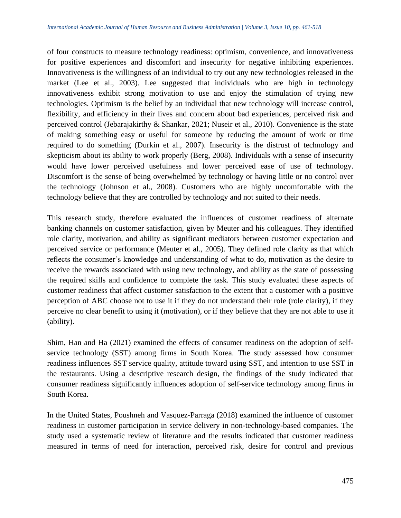of four constructs to measure technology readiness: optimism, convenience, and innovativeness for positive experiences and discomfort and insecurity for negative inhibiting experiences. Innovativeness is the willingness of an individual to try out any new technologies released in the market (Lee et al., 2003). Lee suggested that individuals who are high in technology innovativeness exhibit strong motivation to use and enjoy the stimulation of trying new technologies. Optimism is the belief by an individual that new technology will increase control, flexibility, and efficiency in their lives and concern about bad experiences, perceived risk and perceived control (Jebarajakirthy & Shankar, 2021; Nuseir et al., 2010). Convenience is the state of making something easy or useful for someone by reducing the amount of work or time required to do something (Durkin et al., 2007). Insecurity is the distrust of technology and skepticism about its ability to work properly (Berg, 2008). Individuals with a sense of insecurity would have lower perceived usefulness and lower perceived ease of use of technology. Discomfort is the sense of being overwhelmed by technology or having little or no control over the technology (Johnson et al., 2008). Customers who are highly uncomfortable with the technology believe that they are controlled by technology and not suited to their needs.

This research study, therefore evaluated the influences of customer readiness of alternate banking channels on customer satisfaction, given by Meuter and his colleagues. They identified role clarity, motivation, and ability as significant mediators between customer expectation and perceived service or performance (Meuter et al., 2005). They defined role clarity as that which reflects the consumer's knowledge and understanding of what to do, motivation as the desire to receive the rewards associated with using new technology, and ability as the state of possessing the required skills and confidence to complete the task. This study evaluated these aspects of customer readiness that affect customer satisfaction to the extent that a customer with a positive perception of ABC choose not to use it if they do not understand their role (role clarity), if they perceive no clear benefit to using it (motivation), or if they believe that they are not able to use it (ability).

Shim, Han and Ha (2021) examined the effects of consumer readiness on the adoption of selfservice technology (SST) among firms in South Korea. The study assessed how consumer readiness influences SST service quality, attitude toward using SST, and intention to use SST in the restaurants. Using a descriptive research design, the findings of the study indicated that consumer readiness significantly influences adoption of self-service technology among firms in South Korea.

In the United States, Poushneh and Vasquez-Parraga (2018) examined the influence of customer readiness in customer participation in service delivery in non-technology-based companies. The study used a systematic review of literature and the results indicated that customer readiness measured in terms of need for interaction, perceived risk, desire for control and previous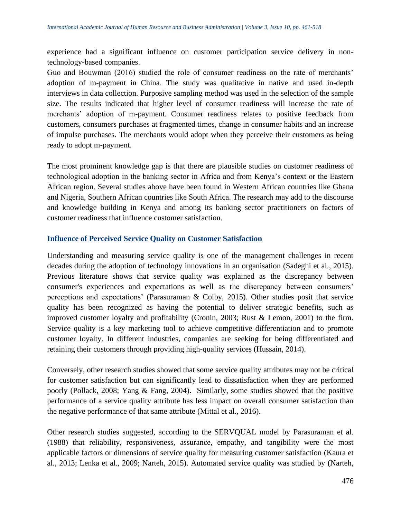experience had a significant influence on customer participation service delivery in nontechnology-based companies.

Guo and Bouwman (2016) studied the role of consumer readiness on the rate of merchants' adoption of m-payment in China. The study was qualitative in native and used in-depth interviews in data collection. Purposive sampling method was used in the selection of the sample size. The results indicated that higher level of consumer readiness will increase the rate of merchants' adoption of m-payment. Consumer readiness relates to positive feedback from customers, consumers purchases at fragmented times, change in consumer habits and an increase of impulse purchases. The merchants would adopt when they perceive their customers as being ready to adopt m-payment.

The most prominent knowledge gap is that there are plausible studies on customer readiness of technological adoption in the banking sector in Africa and from Kenya's context or the Eastern African region. Several studies above have been found in Western African countries like Ghana and Nigeria, Southern African countries like South Africa. The research may add to the discourse and knowledge building in Kenya and among its banking sector practitioners on factors of customer readiness that influence customer satisfaction.

## **Influence of Perceived Service Quality on Customer Satisfaction**

Understanding and measuring service quality is one of the management challenges in recent decades during the adoption of technology innovations in an organisation (Sadeghi et al., 2015). Previous literature shows that service quality was explained as the discrepancy between consumer's experiences and expectations as well as the discrepancy between consumers' perceptions and expectations' (Parasuraman & Colby, 2015). Other studies posit that service quality has been recognized as having the potential to deliver strategic benefits, such as improved customer loyalty and profitability (Cronin, 2003; Rust & Lemon, 2001) to the firm. Service quality is a key marketing tool to achieve competitive differentiation and to promote customer loyalty. In different industries, companies are seeking for being differentiated and retaining their customers through providing high-quality services (Hussain, 2014).

Conversely, other research studies showed that some service quality attributes may not be critical for customer satisfaction but can significantly lead to dissatisfaction when they are performed poorly (Pollack, 2008; Yang & Fang, 2004). Similarly, some studies showed that the positive performance of a service quality attribute has less impact on overall consumer satisfaction than the negative performance of that same attribute (Mittal et al., 2016).

Other research studies suggested, according to the SERVQUAL model by Parasuraman et al. (1988) that reliability, responsiveness, assurance, empathy, and tangibility were the most applicable factors or dimensions of service quality for measuring customer satisfaction (Kaura et al., 2013; Lenka et al., 2009; Narteh, 2015). Automated service quality was studied by (Narteh,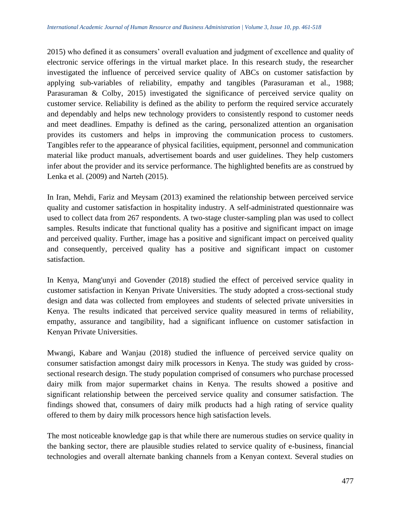2015) who defined it as consumers' overall evaluation and judgment of excellence and quality of electronic service offerings in the virtual market place. In this research study, the researcher investigated the influence of perceived service quality of ABCs on customer satisfaction by applying sub-variables of reliability, empathy and tangibles (Parasuraman et al., 1988; Parasuraman & Colby, 2015) investigated the significance of perceived service quality on customer service. Reliability is defined as the ability to perform the required service accurately and dependably and helps new technology providers to consistently respond to customer needs and meet deadlines. Empathy is defined as the caring, personalized attention an organisation provides its customers and helps in improving the communication process to customers. Tangibles refer to the appearance of physical facilities, equipment, personnel and communication material like product manuals, advertisement boards and user guidelines. They help customers infer about the provider and its service performance. The highlighted benefits are as construed by Lenka et al. (2009) and Narteh (2015).

In Iran, Mehdi, Fariz and Meysam (2013) examined the relationship between perceived service quality and customer satisfaction in hospitality industry. A self-administrated questionnaire was used to collect data from 267 respondents. A two-stage cluster-sampling plan was used to collect samples. Results indicate that functional quality has a positive and significant impact on image and perceived quality. Further, image has a positive and significant impact on perceived quality and consequently, perceived quality has a positive and significant impact on customer satisfaction.

In Kenya, Mang'unyi and Govender (2018) studied the effect of perceived service quality in customer satisfaction in Kenyan Private Universities. The study adopted a cross-sectional study design and data was collected from employees and students of selected private universities in Kenya. The results indicated that perceived service quality measured in terms of reliability, empathy, assurance and tangibility, had a significant influence on customer satisfaction in Kenyan Private Universities.

Mwangi, Kabare and Wanjau (2018) studied the influence of perceived service quality on consumer satisfaction amongst dairy milk processors in Kenya. The study was guided by crosssectional research design. The study population comprised of consumers who purchase processed dairy milk from major supermarket chains in Kenya. The results showed a positive and significant relationship between the perceived service quality and consumer satisfaction. The findings showed that, consumers of dairy milk products had a high rating of service quality offered to them by dairy milk processors hence high satisfaction levels.

The most noticeable knowledge gap is that while there are numerous studies on service quality in the banking sector, there are plausible studies related to service quality of e-business, financial technologies and overall alternate banking channels from a Kenyan context. Several studies on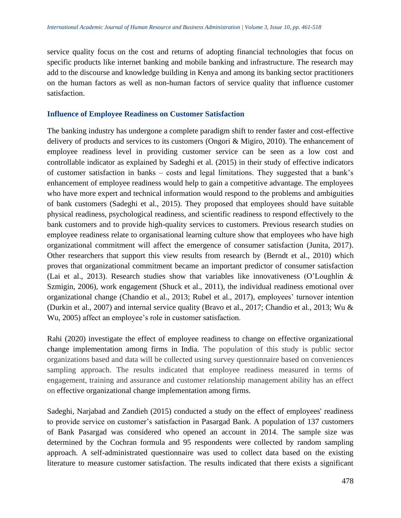service quality focus on the cost and returns of adopting financial technologies that focus on specific products like internet banking and mobile banking and infrastructure. The research may add to the discourse and knowledge building in Kenya and among its banking sector practitioners on the human factors as well as non-human factors of service quality that influence customer satisfaction.

## **Influence of Employee Readiness on Customer Satisfaction**

The banking industry has undergone a complete paradigm shift to render faster and cost-effective delivery of products and services to its customers (Ongori & Migiro, 2010). The enhancement of employee readiness level in providing customer service can be seen as a low cost and controllable indicator as explained by Sadeghi et al. (2015) in their study of effective indicators of customer satisfaction in banks – costs and legal limitations. They suggested that a bank's enhancement of employee readiness would help to gain a competitive advantage. The employees who have more expert and technical information would respond to the problems and ambiguities of bank customers (Sadeghi et al., 2015). They proposed that employees should have suitable physical readiness, psychological readiness, and scientific readiness to respond effectively to the bank customers and to provide high-quality services to customers. Previous research studies on employee readiness relate to organisational learning culture show that employees who have high organizational commitment will affect the emergence of consumer satisfaction (Junita, 2017). Other researchers that support this view results from research by (Berndt et al., 2010) which proves that organizational commitment became an important predictor of consumer satisfaction (Lai et al., 2013). Research studies show that variables like innovativeness (O'Loughlin & Szmigin, 2006), work engagement (Shuck et al., 2011), the individual readiness emotional over organizational change (Chandio et al., 2013; Rubel et al., 2017), employees' turnover intention (Durkin et al., 2007) and internal service quality (Bravo et al., 2017; Chandio et al., 2013; Wu & Wu, 2005) affect an employee's role in customer satisfaction.

Rahi (2020) investigate the effect of employee readiness to change on effective organizational change implementation among firms in India. The population of this study is public sector organizations based and data will be collected using survey questionnaire based on conveniences sampling approach. The results indicated that employee readiness measured in terms of engagement, training and assurance and customer relationship management ability has an effect on effective organizational change implementation among firms.

Sadeghi, Narjabad and Zandieh (2015) conducted a study on the effect of employees' readiness to provide service on customer's satisfaction in Pasargad Bank. A population of 137 customers of Bank Pasargad was considered who opened an account in 2014. The sample size was determined by the Cochran formula and 95 respondents were collected by random sampling approach. A self-administrated questionnaire was used to collect data based on the existing literature to measure customer satisfaction. The results indicated that there exists a significant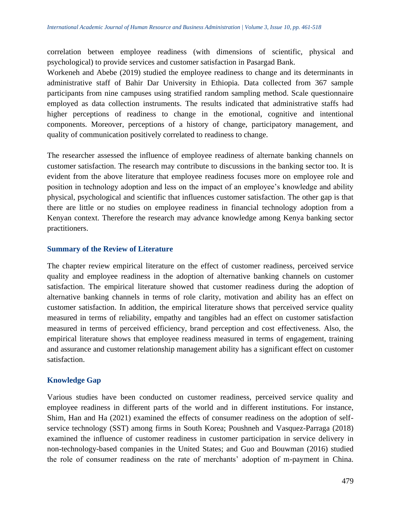correlation between employee readiness (with dimensions of scientific, physical and psychological) to provide services and customer satisfaction in Pasargad Bank.

Workeneh and Abebe (2019) studied the employee readiness to change and its determinants in administrative staff of Bahir Dar University in Ethiopia. Data collected from 367 sample participants from nine campuses using stratified random sampling method. Scale questionnaire employed as data collection instruments. The results indicated that administrative staffs had higher perceptions of readiness to change in the emotional, cognitive and intentional components. Moreover, perceptions of a history of change, participatory management, and quality of communication positively correlated to readiness to change.

The researcher assessed the influence of employee readiness of alternate banking channels on customer satisfaction. The research may contribute to discussions in the banking sector too. It is evident from the above literature that employee readiness focuses more on employee role and position in technology adoption and less on the impact of an employee's knowledge and ability physical, psychological and scientific that influences customer satisfaction. The other gap is that there are little or no studies on employee readiness in financial technology adoption from a Kenyan context. Therefore the research may advance knowledge among Kenya banking sector practitioners.

## **Summary of the Review of Literature**

The chapter review empirical literature on the effect of customer readiness, perceived service quality and employee readiness in the adoption of alternative banking channels on customer satisfaction. The empirical literature showed that customer readiness during the adoption of alternative banking channels in terms of role clarity, motivation and ability has an effect on customer satisfaction. In addition, the empirical literature shows that perceived service quality measured in terms of reliability, empathy and tangibles had an effect on customer satisfaction measured in terms of perceived efficiency, brand perception and cost effectiveness. Also, the empirical literature shows that employee readiness measured in terms of engagement, training and assurance and customer relationship management ability has a significant effect on customer satisfaction.

# **Knowledge Gap**

Various studies have been conducted on customer readiness, perceived service quality and employee readiness in different parts of the world and in different institutions. For instance, Shim, Han and Ha (2021) examined the effects of consumer readiness on the adoption of selfservice technology (SST) among firms in South Korea; Poushneh and Vasquez-Parraga (2018) examined the influence of customer readiness in customer participation in service delivery in non-technology-based companies in the United States; and Guo and Bouwman (2016) studied the role of consumer readiness on the rate of merchants' adoption of m-payment in China.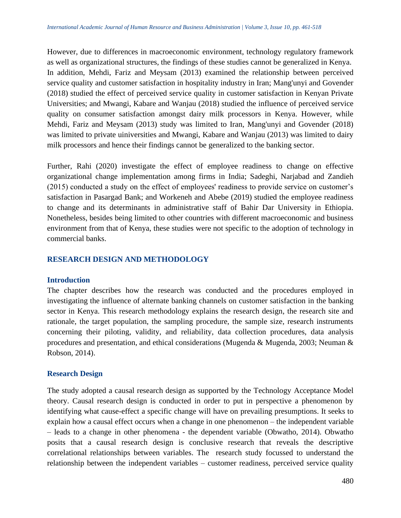However, due to differences in macroeconomic environment, technology regulatory framework as well as organizational structures, the findings of these studies cannot be generalized in Kenya. In addition, Mehdi, Fariz and Meysam (2013) examined the relationship between perceived service quality and customer satisfaction in hospitality industry in Iran; Mang'unyi and Govender (2018) studied the effect of perceived service quality in customer satisfaction in Kenyan Private Universities; and Mwangi, Kabare and Wanjau (2018) studied the influence of perceived service quality on consumer satisfaction amongst dairy milk processors in Kenya. However, while Mehdi, Fariz and Meysam (2013) study was limited to Iran, Mang'unyi and Govender (2018) was limited to private uiniversities and Mwangi, Kabare and Wanjau (2013) was limited to dairy milk processors and hence their findings cannot be generalized to the banking sector.

Further, Rahi (2020) investigate the effect of employee readiness to change on effective organizational change implementation among firms in India; Sadeghi, Narjabad and Zandieh (2015) conducted a study on the effect of employees' readiness to provide service on customer's satisfaction in Pasargad Bank; and Workeneh and Abebe (2019) studied the employee readiness to change and its determinants in administrative staff of Bahir Dar University in Ethiopia. Nonetheless, besides being limited to other countries with different macroeconomic and business environment from that of Kenya, these studies were not specific to the adoption of technology in commercial banks.

# **RESEARCH DESIGN AND METHODOLOGY**

## **Introduction**

The chapter describes how the research was conducted and the procedures employed in investigating the influence of alternate banking channels on customer satisfaction in the banking sector in Kenya. This research methodology explains the research design, the research site and rationale, the target population, the sampling procedure, the sample size, research instruments concerning their piloting, validity, and reliability, data collection procedures, data analysis procedures and presentation, and ethical considerations (Mugenda & Mugenda, 2003; Neuman & Robson, 2014).

## **Research Design**

The study adopted a causal research design as supported by the Technology Acceptance Model theory. Causal research design is conducted in order to put in perspective a phenomenon by identifying what cause-effect a specific change will have on prevailing presumptions. It seeks to explain how a causal effect occurs when a change in one phenomenon – the independent variable – leads to a change in other phenomena - the dependent variable (Obwatho, 2014). Obwatho posits that a causal research design is conclusive research that reveals the descriptive correlational relationships between variables. The research study focussed to understand the relationship between the independent variables – customer readiness, perceived service quality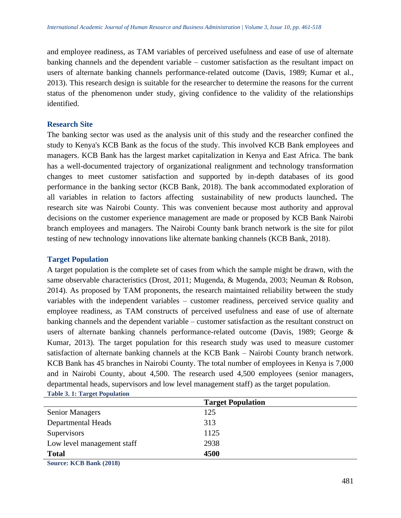and employee readiness, as TAM variables of perceived usefulness and ease of use of alternate banking channels and the dependent variable – customer satisfaction as the resultant impact on users of alternate banking channels performance-related outcome (Davis, 1989; Kumar et al., 2013). This research design is suitable for the researcher to determine the reasons for the current status of the phenomenon under study, giving confidence to the validity of the relationships identified.

## **Research Site**

The banking sector was used as the analysis unit of this study and the researcher confined the study to Kenya's KCB Bank as the focus of the study. This involved KCB Bank employees and managers. KCB Bank has the largest market capitalization in Kenya and East Africa. The bank has a well-documented trajectory of organizational realignment and technology transformation changes to meet customer satisfaction and supported by in-depth databases of its good performance in the banking sector (KCB Bank, 2018). The bank accommodated exploration of all variables in relation to factors affecting sustainability of new products launched**.** The research site was Nairobi County. This was convenient because most authority and approval decisions on the customer experience management are made or proposed by KCB Bank Nairobi branch employees and managers. The Nairobi County bank branch network is the site for pilot testing of new technology innovations like alternate banking channels (KCB Bank, 2018).

## **Target Population**

A target population is the complete set of cases from which the sample might be drawn, with the same observable characteristics (Drost, 2011; Mugenda, & Mugenda, 2003; Neuman & Robson, 2014). As proposed by TAM proponents, the research maintained reliability between the study variables with the independent variables – customer readiness, perceived service quality and employee readiness, as TAM constructs of perceived usefulness and ease of use of alternate banking channels and the dependent variable – customer satisfaction as the resultant construct on users of alternate banking channels performance-related outcome (Davis, 1989; George & Kumar, 2013). The target population for this research study was used to measure customer satisfaction of alternate banking channels at the KCB Bank – Nairobi County branch network. KCB Bank has 45 branches in Nairobi County. The total number of employees in Kenya is 7,000 and in Nairobi County, about 4,500. The research used 4,500 employees (senior managers, departmental heads, supervisors and low level management staff) as the target population. **Table 3. 1: Target Population** 

|                                                | <b>Target Population</b> |  |
|------------------------------------------------|--------------------------|--|
| <b>Senior Managers</b>                         | 125                      |  |
| <b>Departmental Heads</b>                      | 313                      |  |
| Supervisors                                    | 1125                     |  |
| Low level management staff                     | 2938                     |  |
| <b>Total</b>                                   | 4500                     |  |
| $\mathbb{C}_{\text{OMPOO}}$ $K$ CR Ronk (2018) |                          |  |

**Source: KCB Bank (2018)**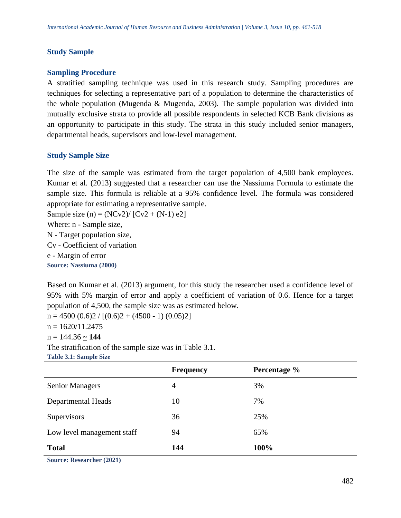## **Study Sample**

## **Sampling Procedure**

A stratified sampling technique was used in this research study. Sampling procedures are techniques for selecting a representative part of a population to determine the characteristics of the whole population (Mugenda & Mugenda, 2003). The sample population was divided into mutually exclusive strata to provide all possible respondents in selected KCB Bank divisions as an opportunity to participate in this study. The strata in this study included senior managers, departmental heads, supervisors and low-level management.

## **Study Sample Size**

The size of the sample was estimated from the target population of 4,500 bank employees. Kumar et al. (2013) suggested that a researcher can use the Nassiuma Formula to estimate the sample size. This formula is reliable at a 95% confidence level. The formula was considered appropriate for estimating a representative sample.

Sample size (n) =  $(NCV2) / [CV2 + (N-1) e2]$ Where: n - Sample size, N - Target population size, Cv - Coefficient of variation e - Margin of error **Source: Nassiuma (2000)**

Based on Kumar et al. (2013) argument, for this study the researcher used a confidence level of 95% with 5% margin of error and apply a coefficient of variation of 0.6. Hence for a target population of 4,500, the sample size was as estimated below.

 $n = 4500 (0.6)2 / [(0.6)2 + (4500 - 1) (0.05)2]$  $n = 1620/11.2475$  $n = 144.36 \sim 144$ The stratification of the sample size was in Table 3.1. **Table 3.1: Sample Size**

|                            | <b>Frequency</b> | Percentage % |
|----------------------------|------------------|--------------|
| <b>Senior Managers</b>     | 4                | 3%           |
| <b>Departmental Heads</b>  | 10               | 7%           |
| Supervisors                | 36               | 25%          |
| Low level management staff | 94               | 65%          |
| <b>Total</b>               | 144              | 100%         |

**Source: Researcher (2021)**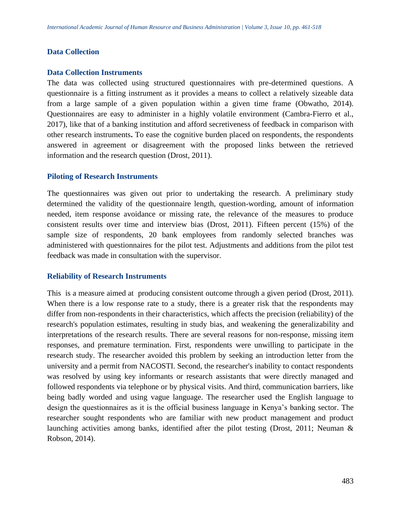#### **Data Collection**

#### **Data Collection Instruments**

The data was collected using structured questionnaires with pre-determined questions. A questionnaire is a fitting instrument as it provides a means to collect a relatively sizeable data from a large sample of a given population within a given time frame (Obwatho, 2014). Questionnaires are easy to administer in a highly volatile environment (Cambra-Fierro et al., 2017), like that of a banking institution and afford secretiveness of feedback in comparison with other research instruments**.** To ease the cognitive burden placed on respondents, the respondents answered in agreement or disagreement with the proposed links between the retrieved information and the research question (Drost, 2011).

#### **Piloting of Research Instruments**

The questionnaires was given out prior to undertaking the research. A preliminary study determined the validity of the questionnaire length, question-wording, amount of information needed, item response avoidance or missing rate, the relevance of the measures to produce consistent results over time and interview bias (Drost, 2011). Fifteen percent (15%) of the sample size of respondents, 20 bank employees from randomly selected branches was administered with questionnaires for the pilot test. Adjustments and additions from the pilot test feedback was made in consultation with the supervisor.

## **Reliability of Research Instruments**

This is a measure aimed at producing consistent outcome through a given period (Drost, 2011). When there is a low response rate to a study, there is a greater risk that the respondents may differ from non-respondents in their characteristics, which affects the precision (reliability) of the research's population estimates, resulting in study bias, and weakening the generalizability and interpretations of the research results. There are several reasons for non-response, missing item responses, and premature termination. First, respondents were unwilling to participate in the research study. The researcher avoided this problem by seeking an introduction letter from the university and a permit from NACOSTI. Second, the researcher's inability to contact respondents was resolved by using key informants or research assistants that were directly managed and followed respondents via telephone or by physical visits. And third, communication barriers, like being badly worded and using vague language. The researcher used the English language to design the questionnaires as it is the official business language in Kenya's banking sector. The researcher sought respondents who are familiar with new product management and product launching activities among banks, identified after the pilot testing (Drost, 2011; Neuman & Robson, 2014).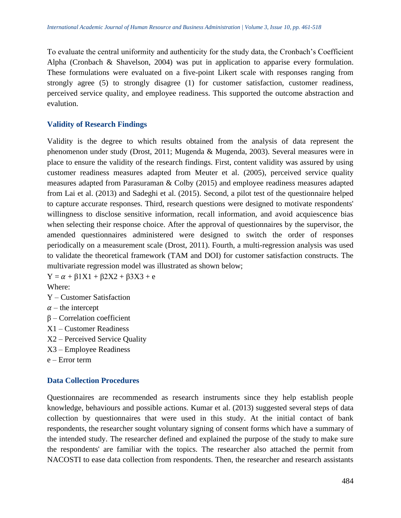To evaluate the central uniformity and authenticity for the study data, the Cronbach's Coefficient Alpha (Cronbach & Shavelson, 2004) was put in application to apparise every formulation. These formulations were evaluated on a five-point Likert scale with responses ranging from strongly agree (5) to strongly disagree (1) for customer satisfaction, customer readiness, perceived service quality, and employee readiness. This supported the outcome abstraction and evalution.

# **Validity of Research Findings**

Validity is the degree to which results obtained from the analysis of data represent the phenomenon under study (Drost, 2011; Mugenda & Mugenda, 2003). Several measures were in place to ensure the validity of the research findings. First, content validity was assured by using customer readiness measures adapted from Meuter et al. (2005), perceived service quality measures adapted from Parasuraman & Colby (2015) and employee readiness measures adapted from Lai et al. (2013) and Sadeghi et al. (2015). Second, a pilot test of the questionnaire helped to capture accurate responses. Third, research questions were designed to motivate respondents' willingness to disclose sensitive information, recall information, and avoid acquiescence bias when selecting their response choice. After the approval of questionnaires by the supervisor, the amended questionnaires administered were designed to switch the order of responses periodically on a measurement scale (Drost, 2011). Fourth, a multi-regression analysis was used to validate the theoretical framework (TAM and DOI) for customer satisfaction constructs. The multivariate regression model was illustrated as shown below;

 $Y = \alpha + \beta 1X1 + \beta 2X2 + \beta 3X3 + e$ Where:

- Y Customer Satisfaction
- $\alpha$  the intercept
- β Correlation coefficient
- X1 Customer Readiness
- X2 Perceived Service Quality
- X3 Employee Readiness
- e Error term

## **Data Collection Procedures**

Questionnaires are recommended as research instruments since they help establish people knowledge, behaviours and possible actions. Kumar et al. (2013) suggested several steps of data collection by questionnaires that were used in this study. At the initial contact of bank respondents, the researcher sought voluntary signing of consent forms which have a summary of the intended study. The researcher defined and explained the purpose of the study to make sure the respondents' are familiar with the topics. The researcher also attached the permit from NACOSTI to ease data collection from respondents. Then, the researcher and research assistants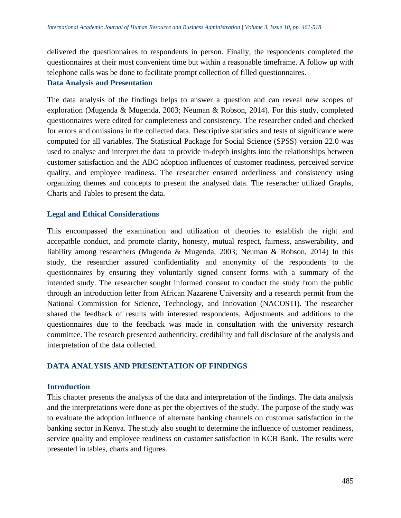delivered the questionnaires to respondents in person. Finally, the respondents completed the questionnaires at their most convenient time but within a reasonable timeframe. A follow up with telephone calls was be done to facilitate prompt collection of filled questionnaires.

#### **Data Analysis and Presentation**

The data analysis of the findings helps to answer a question and can reveal new scopes of exploration (Mugenda & Mugenda, 2003; Neuman & Robson, 2014). For this study, completed questionnaires were edited for completeness and consistency. The researcher coded and checked for errors and omissions in the collected data. Descriptive statistics and tests of significance were computed for all variables. The Statistical Package for Social Science (SPSS) version 22.0 was used to analyse and interpret the data to provide in-depth insights into the relationships between customer satisfaction and the ABC adoption influences of customer readiness, perceived service quality, and employee readiness. The researcher ensured orderliness and consistency using organizing themes and concepts to present the analysed data. The reseracher utilized Graphs, Charts and Tables to present the data.

## **Legal and Ethical Considerations**

This encompassed the examination and utilization of theories to establish the right and accepatble conduct, and promote clarity, honesty, mutual respect, fairness, answerability, and liability among researchers (Mugenda & Mugenda, 2003; Neuman & Robson, 2014) In this study, the researcher assured confidentiality and anonymity of the respondents to the questionnaires by ensuring they voluntarily signed consent forms with a summary of the intended study. The researcher sought informed consent to conduct the study from the public through an introduction letter from African Nazarene University and a research permit from the National Commission for Science, Technology, and Innovation (NACOSTI). The researcher shared the feedback of results with interested respondents. Adjustments and additions to the questionnaires due to the feedback was made in consultation with the university research committee. The research presented authenticity, credibility and full disclosure of the analysis and interpretation of the data collected.

# **DATA ANALYSIS AND PRESENTATION OF FINDINGS**

## **Introduction**

This chapter presents the analysis of the data and interpretation of the findings. The data analysis and the interpretations were done as per the objectives of the study. The purpose of the study was to evaluate the adoption influence of alternate banking channels on customer satisfaction in the banking sector in Kenya. The study also sought to determine the influence of customer readiness, service quality and employee readiness on customer satisfaction in KCB Bank. The results were presented in tables, charts and figures.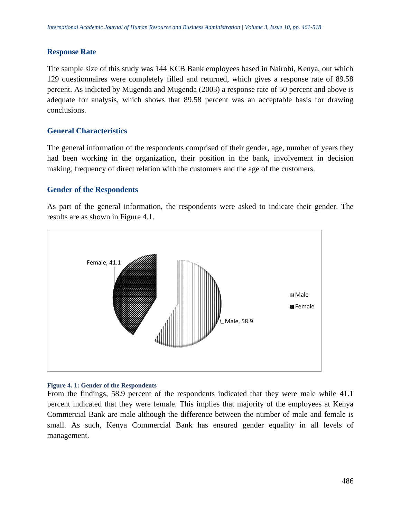## **Response Rate**

The sample size of this study was 144 KCB Bank employees based in Nairobi, Kenya, out which 129 questionnaires were completely filled and returned, which gives a response rate of 89.58 percent. As indicted by Mugenda and Mugenda (2003) a response rate of 50 percent and above is adequate for analysis, which shows that 89.58 percent was an acceptable basis for drawing conclusions.

## **General Characteristics**

The general information of the respondents comprised of their gender, age, number of years they had been working in the organization, their position in the bank, involvement in decision making, frequency of direct relation with the customers and the age of the customers.

## **Gender of the Respondents**

As part of the general information, the respondents were asked to indicate their gender. The results are as shown in Figure 4.1.



## **Figure 4. 1: Gender of the Respondents**

From the findings, 58.9 percent of the respondents indicated that they were male while 41.1 percent indicated that they were female. This implies that majority of the employees at Kenya Commercial Bank are male although the difference between the number of male and female is small. As such, Kenya Commercial Bank has ensured gender equality in all levels of management.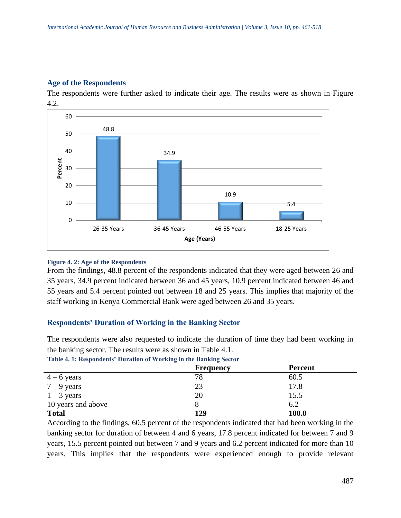# **Age of the Respondents**

The respondents were further asked to indicate their age. The results were as shown in Figure 4.2.



#### **Figure 4. 2: Age of the Respondents**

From the findings, 48.8 percent of the respondents indicated that they were aged between 26 and 35 years, 34.9 percent indicated between 36 and 45 years, 10.9 percent indicated between 46 and 55 years and 5.4 percent pointed out between 18 and 25 years. This implies that majority of the staff working in Kenya Commercial Bank were aged between 26 and 35 years.

## **Respondents' Duration of Working in the Banking Sector**

The respondents were also requested to indicate the duration of time they had been working in the banking sector. The results were as shown in Table 4.1.

|                    | <b>Frequency</b> | <b>Percent</b> |  |  |  |  |  |  |
|--------------------|------------------|----------------|--|--|--|--|--|--|
| $4-6$ years        | 78               | 60.5           |  |  |  |  |  |  |
| $7 - 9$ years      | 23               | 17.8           |  |  |  |  |  |  |
| $1 - 3$ years      | 20               | 15.5           |  |  |  |  |  |  |
| 10 years and above |                  | 6.2            |  |  |  |  |  |  |
| <b>Total</b>       | 129              | 100.0          |  |  |  |  |  |  |

**Table 4. 1: Respondents' Duration of Working in the Banking Sector**

According to the findings, 60.5 percent of the respondents indicated that had been working in the banking sector for duration of between 4 and 6 years, 17.8 percent indicated for between 7 and 9 years, 15.5 percent pointed out between 7 and 9 years and 6.2 percent indicated for more than 10 years. This implies that the respondents were experienced enough to provide relevant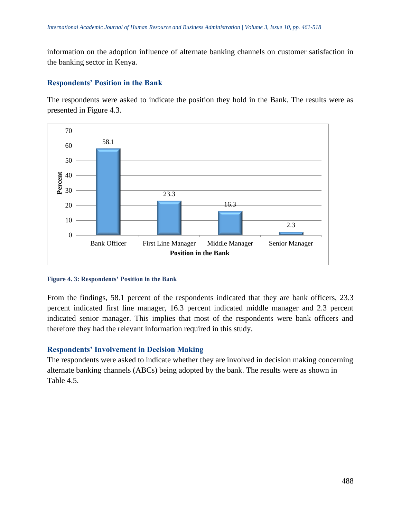information on the adoption influence of alternate banking channels on customer satisfaction in the banking sector in Kenya.

# **Respondents' Position in the Bank**

The respondents were asked to indicate the position they hold in the Bank. The results were as presented in Figure 4.3.



#### **Figure 4. 3: Respondents' Position in the Bank**

From the findings, 58.1 percent of the respondents indicated that they are bank officers, 23.3 percent indicated first line manager, 16.3 percent indicated middle manager and 2.3 percent indicated senior manager. This implies that most of the respondents were bank officers and therefore they had the relevant information required in this study.

## **Respondents' Involvement in Decision Making**

The respondents were asked to indicate whether they are involved in decision making concerning alternate banking channels (ABCs) being adopted by the bank. The results were as shown in Table 4.5.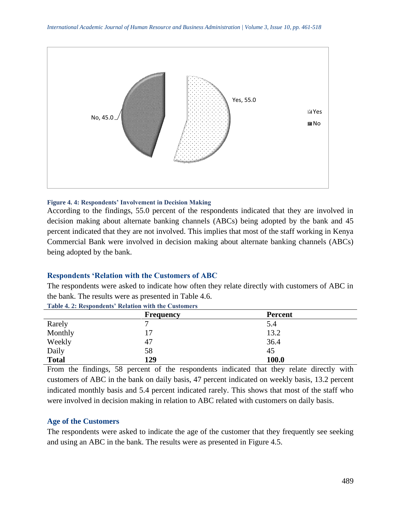

#### **Figure 4. 4: Respondents' Involvement in Decision Making**

According to the findings, 55.0 percent of the respondents indicated that they are involved in decision making about alternate banking channels (ABCs) being adopted by the bank and 45 percent indicated that they are not involved. This implies that most of the staff working in Kenya Commercial Bank were involved in decision making about alternate banking channels (ABCs) being adopted by the bank.

#### **Respondents 'Relation with the Customers of ABC**

The respondents were asked to indicate how often they relate directly with customers of ABC in the bank. The results were as presented in Table 4.6.

|              | <b>Frequency</b> | <b>Percent</b> |
|--------------|------------------|----------------|
| Rarely       | −                | 5.4            |
| Monthly      |                  | 13.2           |
| Weekly       | 47               | 36.4           |
| Daily        | 58               | 45             |
| <b>Total</b> | 129              | 100.0          |

**Table 4. 2: Respondents' Relation with the Customers** 

From the findings, 58 percent of the respondents indicated that they relate directly with customers of ABC in the bank on daily basis, 47 percent indicated on weekly basis, 13.2 percent indicated monthly basis and 5.4 percent indicated rarely. This shows that most of the staff who were involved in decision making in relation to ABC related with customers on daily basis.

#### **Age of the Customers**

The respondents were asked to indicate the age of the customer that they frequently see seeking and using an ABC in the bank. The results were as presented in Figure 4.5.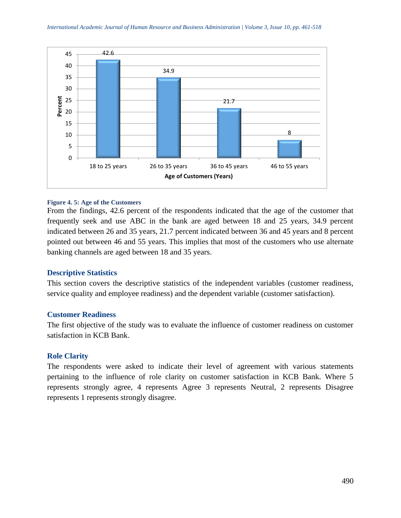

#### **Figure 4. 5: Age of the Customers**

From the findings, 42.6 percent of the respondents indicated that the age of the customer that frequently seek and use ABC in the bank are aged between 18 and 25 years, 34.9 percent indicated between 26 and 35 years, 21.7 percent indicated between 36 and 45 years and 8 percent pointed out between 46 and 55 years. This implies that most of the customers who use alternate banking channels are aged between 18 and 35 years.

## **Descriptive Statistics**

This section covers the descriptive statistics of the independent variables (customer readiness, service quality and employee readiness) and the dependent variable (customer satisfaction).

#### **Customer Readiness**

The first objective of the study was to evaluate the influence of customer readiness on customer satisfaction in KCB Bank.

## **Role Clarity**

The respondents were asked to indicate their level of agreement with various statements pertaining to the influence of role clarity on customer satisfaction in KCB Bank. Where 5 represents strongly agree, 4 represents Agree 3 represents Neutral, 2 represents Disagree represents 1 represents strongly disagree.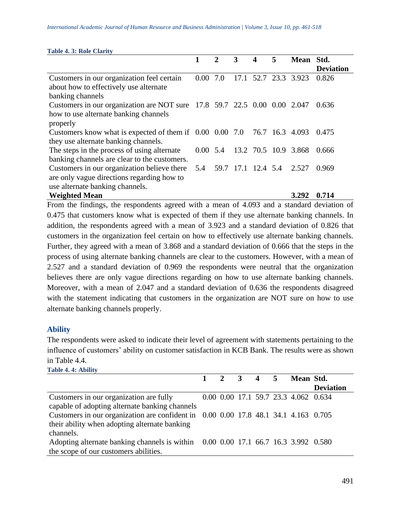| Table 7. J. AVIC Clarity                                                        |      |     |      |                  |   |                               |                  |
|---------------------------------------------------------------------------------|------|-----|------|------------------|---|-------------------------------|------------------|
|                                                                                 | 1    | 2   | 3    | $\boldsymbol{4}$ | 5 | Mean Std.                     |                  |
|                                                                                 |      |     |      |                  |   |                               | <b>Deviation</b> |
| Customers in our organization feel certain                                      | 0.00 | 7.0 | 17.1 |                  |   | 52.7 23.3 3.923               | 0.826            |
| about how to effectively use alternate                                          |      |     |      |                  |   |                               |                  |
| banking channels                                                                |      |     |      |                  |   |                               |                  |
| Customers in our organization are NOT sure 17.8 59.7 22.5 0.00 0.00 2.047       |      |     |      |                  |   |                               | 0.636            |
| how to use alternate banking channels                                           |      |     |      |                  |   |                               |                  |
| properly                                                                        |      |     |      |                  |   |                               |                  |
| Customers know what is expected of them if $0.00\ 0.00\ 7.0\ 76.7\ 16.3\ 4.093$ |      |     |      |                  |   |                               | 0.475            |
| they use alternate banking channels.                                            |      |     |      |                  |   |                               |                  |
| The steps in the process of using alternate                                     |      |     |      |                  |   | 0.00 5.4 13.2 70.5 10.9 3.868 | 0.666            |
| banking channels are clear to the customers.                                    |      |     |      |                  |   |                               |                  |
| Customers in our organization believe there                                     | 5.4  |     |      |                  |   | 59.7 17.1 12.4 5.4 2.527      | 0.969            |
| are only vague directions regarding how to                                      |      |     |      |                  |   |                               |                  |
| use alternate banking channels.                                                 |      |     |      |                  |   |                               |                  |
| <b>Weighted Mean</b>                                                            |      |     |      |                  |   | 3.292                         | 0.714            |

From the findings, the respondents agreed with a mean of 4.093 and a standard deviation of 0.475 that customers know what is expected of them if they use alternate banking channels. In addition, the respondents agreed with a mean of 3.923 and a standard deviation of 0.826 that customers in the organization feel certain on how to effectively use alternate banking channels. Further, they agreed with a mean of 3.868 and a standard deviation of 0.666 that the steps in the process of using alternate banking channels are clear to the customers. However, with a mean of 2.527 and a standard deviation of 0.969 the respondents were neutral that the organization believes there are only vague directions regarding on how to use alternate banking channels. Moreover, with a mean of 2.047 and a standard deviation of 0.636 the respondents disagreed with the statement indicating that customers in the organization are NOT sure on how to use alternate banking channels properly.

# **Ability**

The respondents were asked to indicate their level of agreement with statements pertaining to the influence of customers' ability on customer satisfaction in KCB Bank. The results were as shown in Table 4.4.

| Table 4.4: Ability                                                                  |  |  |                                      |                  |
|-------------------------------------------------------------------------------------|--|--|--------------------------------------|------------------|
|                                                                                     |  |  | 1 2 3 4 5 Mean Std.                  |                  |
|                                                                                     |  |  |                                      | <b>Deviation</b> |
| Customers in our organization are fully                                             |  |  | 0.00 0.00 17.1 59.7 23.3 4.062 0.634 |                  |
| capable of adopting alternate banking channels                                      |  |  |                                      |                  |
| Customers in our organization are confident in 0.00 0.00 17.8 48.1 34.1 4.163 0.705 |  |  |                                      |                  |
| their ability when adopting alternate banking                                       |  |  |                                      |                  |
| channels.                                                                           |  |  |                                      |                  |
| Adopting alternate banking channels is within 0.00 0.00 17.1 66.7 16.3 3.992 0.580  |  |  |                                      |                  |
| the scope of our customers abilities.                                               |  |  |                                      |                  |
|                                                                                     |  |  |                                      |                  |

#### **Table 4. 3: Role Clarity**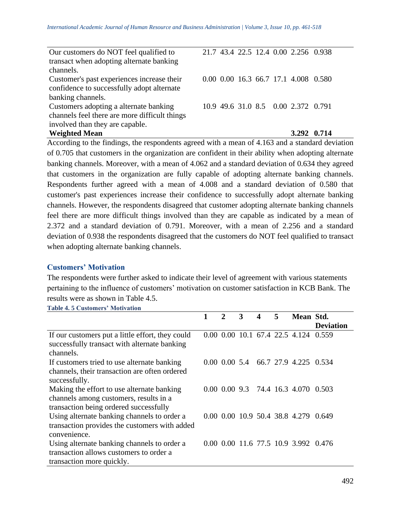| Our customers do NOT feel qualified to        |  |  | 21.7 43.4 22.5 12.4 0.00 2.256 0.938 |  |
|-----------------------------------------------|--|--|--------------------------------------|--|
| transact when adopting alternate banking      |  |  |                                      |  |
| channels.                                     |  |  |                                      |  |
| Customer's past experiences increase their    |  |  | 0.00 0.00 16.3 66.7 17.1 4.008 0.580 |  |
| confidence to successfully adopt alternate    |  |  |                                      |  |
| banking channels.                             |  |  |                                      |  |
| Customers adopting a alternate banking        |  |  | 10.9 49.6 31.0 8.5 0.00 2.372 0.791  |  |
| channels feel there are more difficult things |  |  |                                      |  |
| involved than they are capable.               |  |  |                                      |  |
| <b>Weighted Mean</b>                          |  |  | 3.292 0.714                          |  |

According to the findings, the respondents agreed with a mean of 4.163 and a standard deviation of 0.705 that customers in the organization are confident in their ability when adopting alternate banking channels. Moreover, with a mean of 4.062 and a standard deviation of 0.634 they agreed that customers in the organization are fully capable of adopting alternate banking channels. Respondents further agreed with a mean of 4.008 and a standard deviation of 0.580 that customer's past experiences increase their confidence to successfully adopt alternate banking channels. However, the respondents disagreed that customer adopting alternate banking channels feel there are more difficult things involved than they are capable as indicated by a mean of 2.372 and a standard deviation of 0.791. Moreover, with a mean of 2.256 and a standard deviation of 0.938 the respondents disagreed that the customers do NOT feel qualified to transact when adopting alternate banking channels.

# **Customers' Motivation**

The respondents were further asked to indicate their level of agreement with various statements pertaining to the influence of customers' motivation on customer satisfaction in KCB Bank. The results were as shown in Table 4.5.

**Table 4. 5 Customers' Motivation** 

|                                                                                                                                | 1 | $\mathcal{D}_{\mathcal{L}}$ | 3 | 4 | 5 | Mean Std.                                       |                  |
|--------------------------------------------------------------------------------------------------------------------------------|---|-----------------------------|---|---|---|-------------------------------------------------|------------------|
|                                                                                                                                |   |                             |   |   |   |                                                 | <b>Deviation</b> |
| If our customers put a little effort, they could<br>successfully transact with alternate banking<br>channels.                  |   |                             |   |   |   | 0.00 0.00 10.1 67.4 22.5 4.124 0.559            |                  |
| If customers tried to use alternate banking<br>channels, their transaction are often ordered<br>successfully.                  |   |                             |   |   |   | $0.00\ 0.00\ 5.4\quad 66.7\ 27.9\ 4.225\ 0.534$ |                  |
| Making the effort to use alternate banking<br>channels among customers, results in a<br>transaction being ordered successfully |   |                             |   |   |   | 0.00 0.00 9.3 74.4 16.3 4.070 0.503             |                  |
| Using alternate banking channels to order a<br>transaction provides the customers with added<br>convenience.                   |   |                             |   |   |   | 0.00 0.00 10.9 50.4 38.8 4.279                  | 0.649            |
| Using alternate banking channels to order a<br>transaction allows customers to order a<br>transaction more quickly.            |   |                             |   |   |   | 0.00 0.00 11.6 77.5 10.9 3.992 0.476            |                  |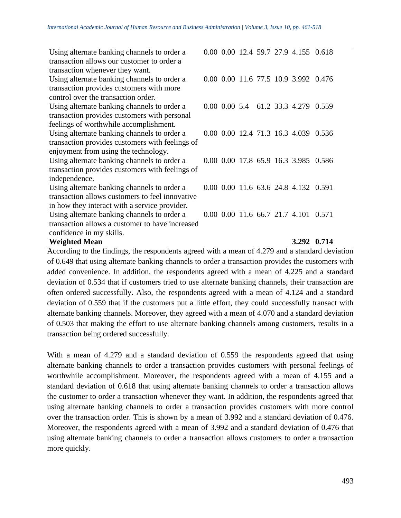| Using alternate banking channels to order a     |  |  | 0.00 0.00 12.4 59.7 27.9 4.155 0.618 |       |
|-------------------------------------------------|--|--|--------------------------------------|-------|
| transaction allows our customer to order a      |  |  |                                      |       |
| transaction whenever they want.                 |  |  |                                      |       |
| Using alternate banking channels to order a     |  |  | 0.00 0.00 11.6 77.5 10.9 3.992 0.476 |       |
| transaction provides customers with more        |  |  |                                      |       |
| control over the transaction order.             |  |  |                                      |       |
| Using alternate banking channels to order a     |  |  | 0.00 0.00 5.4 61.2 33.3 4.279 0.559  |       |
| transaction provides customers with personal    |  |  |                                      |       |
| feelings of worthwhile accomplishment.          |  |  |                                      |       |
| Using alternate banking channels to order a     |  |  | 0.00 0.00 12.4 71.3 16.3 4.039       | 0.536 |
| transaction provides customers with feelings of |  |  |                                      |       |
| enjoyment from using the technology.            |  |  |                                      |       |
| Using alternate banking channels to order a     |  |  | 0.00 0.00 17.8 65.9 16.3 3.985       | 0.586 |
| transaction provides customers with feelings of |  |  |                                      |       |
| independence.                                   |  |  |                                      |       |
| Using alternate banking channels to order a     |  |  | 0.00 0.00 11.6 63.6 24.8 4.132 0.591 |       |
| transaction allows customers to feel innovative |  |  |                                      |       |
| in how they interact with a service provider.   |  |  |                                      |       |
| Using alternate banking channels to order a     |  |  | 0.00 0.00 11.6 66.7 21.7 4.101       | 0.571 |
| transaction allows a customer to have increased |  |  |                                      |       |
| confidence in my skills.                        |  |  |                                      |       |
| <b>Weighted Mean</b>                            |  |  | 3.292 0.714                          |       |

According to the findings, the respondents agreed with a mean of 4.279 and a standard deviation of 0.649 that using alternate banking channels to order a transaction provides the customers with added convenience. In addition, the respondents agreed with a mean of 4.225 and a standard deviation of 0.534 that if customers tried to use alternate banking channels, their transaction are often ordered successfully. Also, the respondents agreed with a mean of 4.124 and a standard deviation of 0.559 that if the customers put a little effort, they could successfully transact with alternate banking channels. Moreover, they agreed with a mean of 4.070 and a standard deviation of 0.503 that making the effort to use alternate banking channels among customers, results in a transaction being ordered successfully.

With a mean of 4.279 and a standard deviation of 0.559 the respondents agreed that using alternate banking channels to order a transaction provides customers with personal feelings of worthwhile accomplishment. Moreover, the respondents agreed with a mean of 4.155 and a standard deviation of 0.618 that using alternate banking channels to order a transaction allows the customer to order a transaction whenever they want. In addition, the respondents agreed that using alternate banking channels to order a transaction provides customers with more control over the transaction order. This is shown by a mean of 3.992 and a standard deviation of 0.476. Moreover, the respondents agreed with a mean of 3.992 and a standard deviation of 0.476 that using alternate banking channels to order a transaction allows customers to order a transaction more quickly.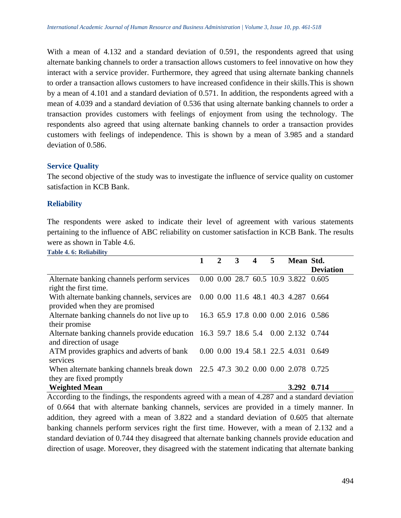With a mean of 4.132 and a standard deviation of 0.591, the respondents agreed that using alternate banking channels to order a transaction allows customers to feel innovative on how they interact with a service provider. Furthermore, they agreed that using alternate banking channels to order a transaction allows customers to have increased confidence in their skills.This is shown by a mean of 4.101 and a standard deviation of 0.571. In addition, the respondents agreed with a mean of 4.039 and a standard deviation of 0.536 that using alternate banking channels to order a transaction provides customers with feelings of enjoyment from using the technology. The respondents also agreed that using alternate banking channels to order a transaction provides customers with feelings of independence. This is shown by a mean of 3.985 and a standard deviation of 0.586.

## **Service Quality**

The second objective of the study was to investigate the influence of service quality on customer satisfaction in KCB Bank.

## **Reliability**

The respondents were asked to indicate their level of agreement with various statements pertaining to the influence of ABC reliability on customer satisfaction in KCB Bank. The results were as shown in Table 4.6.

**Table 4. 6: Reliability** 

|                                                                                    |  | 3 | $\overline{\mathbf{4}}$ | 5 | Mean Std.                            |                  |
|------------------------------------------------------------------------------------|--|---|-------------------------|---|--------------------------------------|------------------|
|                                                                                    |  |   |                         |   |                                      | <b>Deviation</b> |
| Alternate banking channels perform services 0.00 0.00 28.7 60.5 10.9 3.822 0.605   |  |   |                         |   |                                      |                  |
| right the first time.                                                              |  |   |                         |   |                                      |                  |
| With alternate banking channels, services are 0.00 0.00 11.6 48.1 40.3 4.287 0.664 |  |   |                         |   |                                      |                  |
| provided when they are promised                                                    |  |   |                         |   |                                      |                  |
| Alternate banking channels do not live up to                                       |  |   |                         |   | 16.3 65.9 17.8 0.00 0.00 2.016 0.586 |                  |
| their promise                                                                      |  |   |                         |   |                                      |                  |
| Alternate banking channels provide education 16.3 59.7 18.6 5.4 0.00 2.132 0.744   |  |   |                         |   |                                      |                  |
| and direction of usage                                                             |  |   |                         |   |                                      |                  |
| ATM provides graphics and adverts of bank 0.00 0.00 19.4 58.1 22.5 4.031 0.649     |  |   |                         |   |                                      |                  |
| services                                                                           |  |   |                         |   |                                      |                  |
| When alternate banking channels break down 22.5 47.3 30.2 0.00 0.00 2.078 0.725    |  |   |                         |   |                                      |                  |
| they are fixed promptly                                                            |  |   |                         |   |                                      |                  |
| <b>Weighted Mean</b>                                                               |  |   |                         |   | 3.292 0.714                          |                  |

According to the findings, the respondents agreed with a mean of 4.287 and a standard deviation of 0.664 that with alternate banking channels, services are provided in a timely manner. In addition, they agreed with a mean of 3.822 and a standard deviation of 0.605 that alternate banking channels perform services right the first time. However, with a mean of 2.132 and a standard deviation of 0.744 they disagreed that alternate banking channels provide education and direction of usage. Moreover, they disagreed with the statement indicating that alternate banking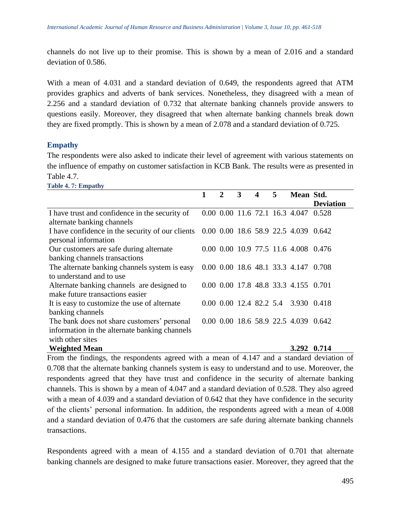channels do not live up to their promise. This is shown by a mean of 2.016 and a standard deviation of 0.586.

With a mean of 4.031 and a standard deviation of 0.649, the respondents agreed that ATM provides graphics and adverts of bank services. Nonetheless, they disagreed with a mean of 2.256 and a standard deviation of 0.732 that alternate banking channels provide answers to questions easily. Moreover, they disagreed that when alternate banking channels break down they are fixed promptly. This is shown by a mean of 2.078 and a standard deviation of 0.725.

## **Empathy**

**Table 4. 7: Empathy**

The respondents were also asked to indicate their level of agreement with various statements on the influence of empathy on customer satisfaction in KCB Bank. The results were as presented in Table 4.7.

|                                                                                       | $\overline{2}$ | 3 | 4 | 5 | Mean Std.                            |                  |
|---------------------------------------------------------------------------------------|----------------|---|---|---|--------------------------------------|------------------|
|                                                                                       |                |   |   |   |                                      | <b>Deviation</b> |
| I have trust and confidence in the security of                                        |                |   |   |   | 0.00 0.00 11.6 72.1 16.3 4.047 0.528 |                  |
| alternate banking channels                                                            |                |   |   |   |                                      |                  |
| I have confidence in the security of our clients 0.00 0.00 18.6 58.9 22.5 4.039 0.642 |                |   |   |   |                                      |                  |
| personal information                                                                  |                |   |   |   |                                      |                  |
| Our customers are safe during alternate                                               |                |   |   |   | 0.00 0.00 10.9 77.5 11.6 4.008 0.476 |                  |
| banking channels transactions                                                         |                |   |   |   |                                      |                  |
| The alternate banking channels system is easy                                         |                |   |   |   | 0.00 0.00 18.6 48.1 33.3 4.147 0.708 |                  |
| to understand and to use                                                              |                |   |   |   |                                      |                  |
| Alternate banking channels are designed to                                            |                |   |   |   | 0.00 0.00 17.8 48.8 33.3 4.155 0.701 |                  |
| make future transactions easier                                                       |                |   |   |   |                                      |                  |
| It is easy to customize the use of alternate                                          |                |   |   |   | 0.00 0.00 12.4 82.2 5.4 3.930 0.418  |                  |
| banking channels                                                                      |                |   |   |   |                                      |                  |
| The bank does not share customers' personal                                           |                |   |   |   | 0.00 0.00 18.6 58.9 22.5 4.039 0.642 |                  |
| information in the alternate banking channels                                         |                |   |   |   |                                      |                  |
| with other sites                                                                      |                |   |   |   |                                      |                  |
| <b>Weighted Mean</b>                                                                  |                |   |   |   | 3.292 0.714                          |                  |

From the findings, the respondents agreed with a mean of 4.147 and a standard deviation of 0.708 that the alternate banking channels system is easy to understand and to use. Moreover, the respondents agreed that they have trust and confidence in the security of alternate banking channels. This is shown by a mean of 4.047 and a standard deviation of 0.528. They also agreed with a mean of 4.039 and a standard deviation of 0.642 that they have confidence in the security of the clients' personal information. In addition, the respondents agreed with a mean of 4.008 and a standard deviation of 0.476 that the customers are safe during alternate banking channels transactions.

Respondents agreed with a mean of 4.155 and a standard deviation of 0.701 that alternate banking channels are designed to make future transactions easier. Moreover, they agreed that the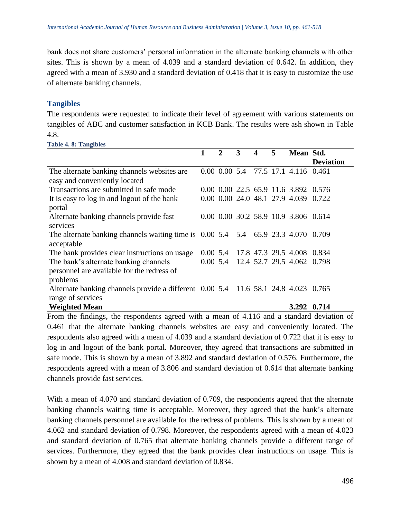bank does not share customers' personal information in the alternate banking channels with other sites. This is shown by a mean of 4.039 and a standard deviation of 0.642. In addition, they agreed with a mean of 3.930 and a standard deviation of 0.418 that it is easy to customize the use of alternate banking channels.

#### **Tangibles**

The respondents were requested to indicate their level of agreement with various statements on tangibles of ABC and customer satisfaction in KCB Bank. The results were ash shown in Table 4.8.

|                                                                                      | $\mathcal{D}_{\cdot}$ | 3 | 4 | 5 | Mean Std.                            |                  |
|--------------------------------------------------------------------------------------|-----------------------|---|---|---|--------------------------------------|------------------|
|                                                                                      |                       |   |   |   |                                      | <b>Deviation</b> |
| The alternate banking channels websites are.                                         |                       |   |   |   | 0.00 0.00 5.4 77.5 17.1 4.116 0.461  |                  |
| easy and conveniently located                                                        |                       |   |   |   |                                      |                  |
| Transactions are submitted in safe mode                                              |                       |   |   |   | 0.00 0.00 22.5 65.9 11.6 3.892 0.576 |                  |
| It is easy to log in and logout of the bank                                          |                       |   |   |   | 0.00 0.00 24.0 48.1 27.9 4.039 0.722 |                  |
| portal                                                                               |                       |   |   |   |                                      |                  |
| Alternate banking channels provide fast                                              |                       |   |   |   | 0.00 0.00 30.2 58.9 10.9 3.806 0.614 |                  |
| services                                                                             |                       |   |   |   |                                      |                  |
| The alternate banking channels waiting time is $0.00\,5.4$ 5.4 65.9 23.3 4.070 0.709 |                       |   |   |   |                                      |                  |
| acceptable                                                                           |                       |   |   |   |                                      |                  |
| The bank provides clear instructions on usage                                        |                       |   |   |   | 0.00 5.4 17.8 47.3 29.5 4.008 0.834  |                  |
| The bank's alternate banking channels                                                |                       |   |   |   | 0.00 5.4 12.4 52.7 29.5 4.062 0.798  |                  |
| personnel are available for the redress of                                           |                       |   |   |   |                                      |                  |
| problems                                                                             |                       |   |   |   |                                      |                  |
| Alternate banking channels provide a different 0.00 5.4 11.6 58.1 24.8 4.023 0.765   |                       |   |   |   |                                      |                  |
| range of services                                                                    |                       |   |   |   |                                      |                  |
| <b>Weighted Mean</b>                                                                 |                       |   |   |   | 3.292 0.714                          |                  |

From the findings, the respondents agreed with a mean of 4.116 and a standard deviation of 0.461 that the alternate banking channels websites are easy and conveniently located. The respondents also agreed with a mean of 4.039 and a standard deviation of 0.722 that it is easy to log in and logout of the bank portal. Moreover, they agreed that transactions are submitted in safe mode. This is shown by a mean of 3.892 and standard deviation of 0.576. Furthermore, the respondents agreed with a mean of 3.806 and standard deviation of 0.614 that alternate banking channels provide fast services.

With a mean of 4.070 and standard deviation of 0.709, the respondents agreed that the alternate banking channels waiting time is acceptable. Moreover, they agreed that the bank's alternate banking channels personnel are available for the redress of problems. This is shown by a mean of 4.062 and standard deviation of 0.798. Moreover, the respondents agreed with a mean of 4.023 and standard deviation of 0.765 that alternate banking channels provide a different range of services. Furthermore, they agreed that the bank provides clear instructions on usage. This is shown by a mean of 4.008 and standard deviation of 0.834.

# **Table 4. 8: Tangibles**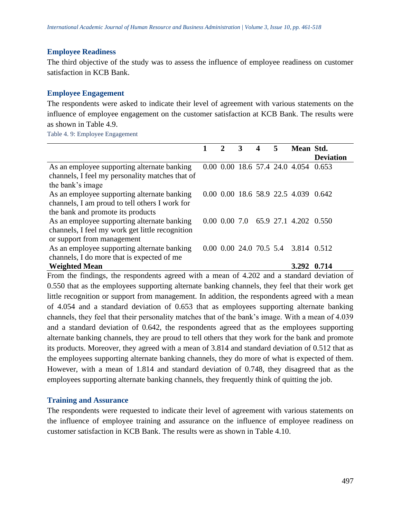#### **Employee Readiness**

The third objective of the study was to assess the influence of employee readiness on customer satisfaction in KCB Bank.

#### **Employee Engagement**

The respondents were asked to indicate their level of agreement with various statements on the influence of employee engagement on the customer satisfaction at KCB Bank. The results were as shown in Table 4.9.

Table 4. 9: Employee Engagement

|                                                 |  | 3 | 5 | Mean Std.                            |                  |
|-------------------------------------------------|--|---|---|--------------------------------------|------------------|
|                                                 |  |   |   |                                      | <b>Deviation</b> |
| As an employee supporting alternate banking     |  |   |   | 0.00 0.00 18.6 57.4 24.0 4.054 0.653 |                  |
| channels, I feel my personality matches that of |  |   |   |                                      |                  |
| the bank's image                                |  |   |   |                                      |                  |
| As an employee supporting alternate banking     |  |   |   | 0.00 0.00 18.6 58.9 22.5 4.039 0.642 |                  |
| channels, I am proud to tell others I work for  |  |   |   |                                      |                  |
| the bank and promote its products               |  |   |   |                                      |                  |
| As an employee supporting alternate banking     |  |   |   | 0.00 0.00 7.0 65.9 27.1 4.202 0.550  |                  |
| channels, I feel my work get little recognition |  |   |   |                                      |                  |
| or support from management                      |  |   |   |                                      |                  |
| As an employee supporting alternate banking     |  |   |   | 0.00 0.00 24.0 70.5 5.4 3.814 0.512  |                  |
| channels, I do more that is expected of me      |  |   |   |                                      |                  |
| <b>Weighted Mean</b>                            |  |   |   | 3.292 0.714                          |                  |

From the findings, the respondents agreed with a mean of 4.202 and a standard deviation of 0.550 that as the employees supporting alternate banking channels, they feel that their work get little recognition or support from management. In addition, the respondents agreed with a mean of 4.054 and a standard deviation of 0.653 that as employees supporting alternate banking channels, they feel that their personality matches that of the bank's image. With a mean of 4.039 and a standard deviation of 0.642, the respondents agreed that as the employees supporting alternate banking channels, they are proud to tell others that they work for the bank and promote its products. Moreover, they agreed with a mean of 3.814 and standard deviation of 0.512 that as the employees supporting alternate banking channels, they do more of what is expected of them. However, with a mean of 1.814 and standard deviation of 0.748, they disagreed that as the employees supporting alternate banking channels, they frequently think of quitting the job.

## **Training and Assurance**

The respondents were requested to indicate their level of agreement with various statements on the influence of employee training and assurance on the influence of employee readiness on customer satisfaction in KCB Bank. The results were as shown in Table 4.10.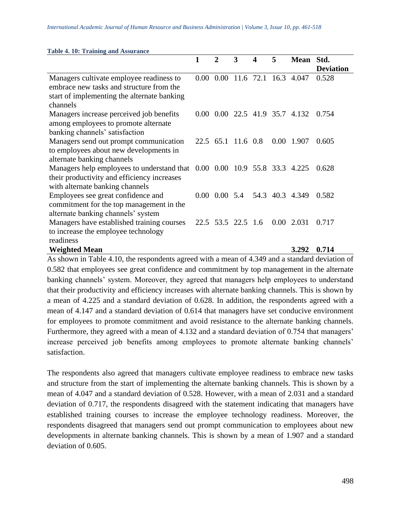| <b>Table 4. 10: Training and Assurance</b>                                |                   |                           |                    |                  |                       |                                |                  |
|---------------------------------------------------------------------------|-------------------|---------------------------|--------------------|------------------|-----------------------|--------------------------------|------------------|
|                                                                           | $\mathbf{1}$      | $\mathbf{2}$              | 3                  | $\boldsymbol{4}$ | 5                     | <b>Mean</b>                    | Std.             |
|                                                                           |                   |                           |                    |                  |                       |                                | <b>Deviation</b> |
| Managers cultivate employee readiness to                                  | 0.00 <sub>1</sub> |                           |                    |                  | $0.00$ 11.6 72.1 16.3 | 4.047                          | 0.528            |
| embrace new tasks and structure from the                                  |                   |                           |                    |                  |                       |                                |                  |
| start of implementing the alternate banking                               |                   |                           |                    |                  |                       |                                |                  |
| channels                                                                  |                   |                           |                    |                  |                       |                                |                  |
| Managers increase perceived job benefits                                  |                   |                           |                    |                  |                       | 0.00 0.00 22.5 41.9 35.7 4.132 | 0.754            |
| among employees to promote alternate                                      |                   |                           |                    |                  |                       |                                |                  |
| banking channels' satisfaction                                            |                   |                           |                    |                  |                       |                                |                  |
| Managers send out prompt communication                                    |                   |                           | 22.5 65.1 11.6 0.8 |                  | 0.00                  | 1.907                          | 0.605            |
| to employees about new developments in                                    |                   |                           |                    |                  |                       |                                |                  |
| alternate banking channels                                                |                   |                           |                    |                  |                       |                                |                  |
| Managers help employees to understand that 0.00 0.00 10.9 55.8 33.3 4.225 |                   |                           |                    |                  |                       |                                | 0.628            |
| their productivity and efficiency increases                               |                   |                           |                    |                  |                       |                                |                  |
| with alternate banking channels                                           |                   |                           |                    |                  |                       |                                |                  |
| Employees see great confidence and                                        |                   | $0.00\quad 0.00\quad 5.4$ |                    |                  |                       | 54.3 40.3 4.349                | 0.582            |
| commitment for the top management in the                                  |                   |                           |                    |                  |                       |                                |                  |
| alternate banking channels' system                                        |                   |                           |                    |                  |                       |                                |                  |
| Managers have established training courses                                |                   |                           | 22.5 53.5 22.5 1.6 |                  | 0.00                  | 2.031                          | 0.717            |
| to increase the employee technology                                       |                   |                           |                    |                  |                       |                                |                  |
| readiness                                                                 |                   |                           |                    |                  |                       |                                |                  |
| <b>Weighted Mean</b>                                                      |                   |                           |                    |                  |                       | 3.292                          | 0.714            |

As shown in Table 4.10, the respondents agreed with a mean of 4.349 and a standard deviation of 0.582 that employees see great confidence and commitment by top management in the alternate banking channels' system. Moreover, they agreed that managers help employees to understand that their productivity and efficiency increases with alternate banking channels. This is shown by a mean of 4.225 and a standard deviation of 0.628. In addition, the respondents agreed with a mean of 4.147 and a standard deviation of 0.614 that managers have set conducive environment for employees to promote commitment and avoid resistance to the alternate banking channels. Furthermore, they agreed with a mean of 4.132 and a standard deviation of 0.754 that managers' increase perceived job benefits among employees to promote alternate banking channels' satisfaction.

The respondents also agreed that managers cultivate employee readiness to embrace new tasks and structure from the start of implementing the alternate banking channels. This is shown by a mean of 4.047 and a standard deviation of 0.528. However, with a mean of 2.031 and a standard deviation of 0.717, the respondents disagreed with the statement indicating that managers have established training courses to increase the employee technology readiness. Moreover, the respondents disagreed that managers send out prompt communication to employees about new developments in alternate banking channels. This is shown by a mean of 1.907 and a standard deviation of 0.605.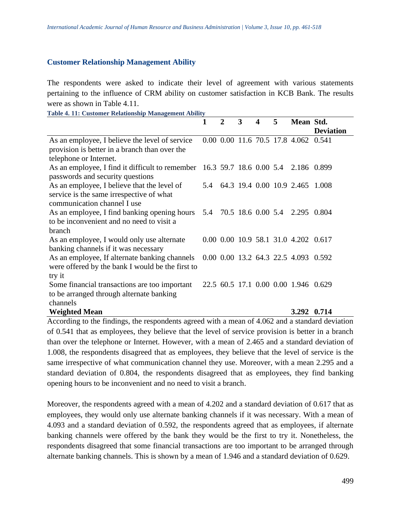## **Customer Relationship Management Ability**

The respondents were asked to indicate their level of agreement with various statements pertaining to the influence of CRM ability on customer satisfaction in KCB Bank. The results were as shown in Table 4.11.

**Table 4. 11: Customer Relationship Management Ability 1 2 3 4 5 Mean Std. Deviation** As an employee, I believe the level of service provision is better in a branch than over the telephone or Internet. 0.00 0.00 11.6 70.5 17.8 4.062 0.541 As an employee, I find it difficult to remember 16.3 59.7 18.6 0.00 5.4 2.186 0.899 passwords and security questions As an employee, I believe that the level of service is the same irrespective of what communication channel I use 5.4 64.3 19.4 0.00 10.9 2.465 1.008 As an employee, I find banking opening hours to be inconvenient and no need to visit a branch 5.4 70.5 18.6 0.00 5.4 2.295 0.804 As an employee, I would only use alternate banking channels if it was necessary 0.00 0.00 10.9 58.1 31.0 4.202 0.617 As an employee, If alternate banking channels were offered by the bank I would be the first to try it 0.00 0.00 13.2 64.3 22.5 4.093 0.592 Some financial transactions are too important to be arranged through alternate banking channels 22.5 60.5 17.1 0.00 0.00 1.946 0.629 **Weighted Mean 3.292 0.714**

According to the findings, the respondents agreed with a mean of 4.062 and a standard deviation of 0.541 that as employees, they believe that the level of service provision is better in a branch than over the telephone or Internet. However, with a mean of 2.465 and a standard deviation of 1.008, the respondents disagreed that as employees, they believe that the level of service is the same irrespective of what communication channel they use. Moreover, with a mean 2.295 and a standard deviation of 0.804, the respondents disagreed that as employees, they find banking opening hours to be inconvenient and no need to visit a branch.

Moreover, the respondents agreed with a mean of 4.202 and a standard deviation of 0.617 that as employees, they would only use alternate banking channels if it was necessary. With a mean of 4.093 and a standard deviation of 0.592, the respondents agreed that as employees, if alternate banking channels were offered by the bank they would be the first to try it. Nonetheless, the respondents disagreed that some financial transactions are too important to be arranged through alternate banking channels. This is shown by a mean of 1.946 and a standard deviation of 0.629.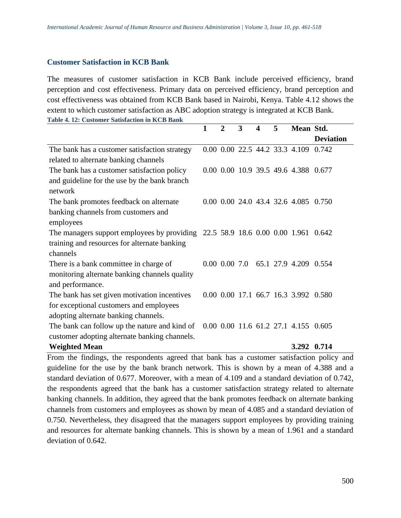#### **Customer Satisfaction in KCB Bank**

The measures of customer satisfaction in KCB Bank include perceived efficiency, brand perception and cost effectiveness. Primary data on perceived efficiency, brand perception and cost effectiveness was obtained from KCB Bank based in Nairobi, Kenya. Table 4.12 shows the extent to which customer satisfaction as ABC adoption strategy is integrated at KCB Bank. **Table 4. 12: Customer Satisfaction in KCB Bank**

|                                                                                  | $\mathbf{1}$ | $\mathbf{2}$ | 3 | 4 | 5 | Mean Std.                            |                  |
|----------------------------------------------------------------------------------|--------------|--------------|---|---|---|--------------------------------------|------------------|
|                                                                                  |              |              |   |   |   |                                      | <b>Deviation</b> |
| The bank has a customer satisfaction strategy                                    |              |              |   |   |   | 0.00 0.00 22.5 44.2 33.3 4.109 0.742 |                  |
| related to alternate banking channels                                            |              |              |   |   |   |                                      |                  |
| The bank has a customer satisfaction policy                                      |              |              |   |   |   | 0.00 0.00 10.9 39.5 49.6 4.388 0.677 |                  |
| and guideline for the use by the bank branch                                     |              |              |   |   |   |                                      |                  |
| network                                                                          |              |              |   |   |   |                                      |                  |
| The bank promotes feedback on alternate                                          |              |              |   |   |   | 0.00 0.00 24.0 43.4 32.6 4.085 0.750 |                  |
| banking channels from customers and                                              |              |              |   |   |   |                                      |                  |
| employees                                                                        |              |              |   |   |   |                                      |                  |
| The managers support employees by providing 22.5 58.9 18.6 0.00 0.00 1.961 0.642 |              |              |   |   |   |                                      |                  |
| training and resources for alternate banking                                     |              |              |   |   |   |                                      |                  |
| channels                                                                         |              |              |   |   |   |                                      |                  |
| There is a bank committee in charge of                                           |              |              |   |   |   | 0.00 0.00 7.0 65.1 27.9 4.209 0.554  |                  |
| monitoring alternate banking channels quality                                    |              |              |   |   |   |                                      |                  |
| and performance.                                                                 |              |              |   |   |   |                                      |                  |
| The bank has set given motivation incentives                                     |              |              |   |   |   | 0.00 0.00 17.1 66.7 16.3 3.992 0.580 |                  |
| for exceptional customers and employees                                          |              |              |   |   |   |                                      |                  |
| adopting alternate banking channels.                                             |              |              |   |   |   |                                      |                  |
| The bank can follow up the nature and kind of                                    |              |              |   |   |   | 0.00 0.00 11.6 61.2 27.1 4.155 0.605 |                  |
| customer adopting alternate banking channels.                                    |              |              |   |   |   |                                      |                  |
| <b>Weighted Mean</b>                                                             |              |              |   |   |   | 3.292 0.714                          |                  |

From the findings, the respondents agreed that bank has a customer satisfaction policy and guideline for the use by the bank branch network. This is shown by a mean of 4.388 and a standard deviation of 0.677. Moreover, with a mean of 4.109 and a standard deviation of 0.742, the respondents agreed that the bank has a customer satisfaction strategy related to alternate banking channels. In addition, they agreed that the bank promotes feedback on alternate banking channels from customers and employees as shown by mean of 4.085 and a standard deviation of 0.750. Nevertheless, they disagreed that the managers support employees by providing training and resources for alternate banking channels. This is shown by a mean of 1.961 and a standard deviation of 0.642.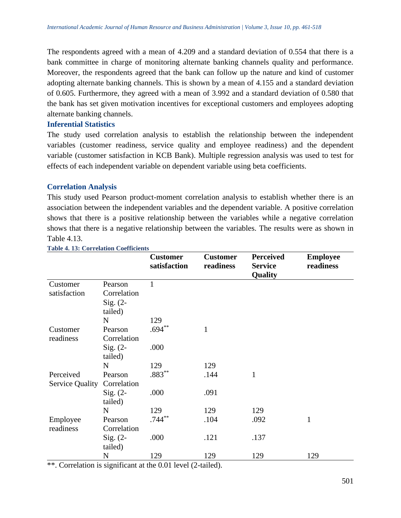The respondents agreed with a mean of 4.209 and a standard deviation of 0.554 that there is a bank committee in charge of monitoring alternate banking channels quality and performance. Moreover, the respondents agreed that the bank can follow up the nature and kind of customer adopting alternate banking channels. This is shown by a mean of 4.155 and a standard deviation of 0.605. Furthermore, they agreed with a mean of 3.992 and a standard deviation of 0.580 that the bank has set given motivation incentives for exceptional customers and employees adopting alternate banking channels.

#### **Inferential Statistics**

The study used correlation analysis to establish the relationship between the independent variables (customer readiness, service quality and employee readiness) and the dependent variable (customer satisfaction in KCB Bank). Multiple regression analysis was used to test for effects of each independent variable on dependent variable using beta coefficients.

## **Correlation Analysis**

This study used Pearson product-moment correlation analysis to establish whether there is an association between the independent variables and the dependent variable. A positive correlation shows that there is a positive relationship between the variables while a negative correlation shows that there is a negative relationship between the variables. The results were as shown in Table 4.13.

|                        |             | <b>Customer</b><br>satisfaction | <b>Customer</b><br>readiness | <b>Perceived</b><br><b>Service</b><br>Quality | <b>Employee</b><br>readiness |
|------------------------|-------------|---------------------------------|------------------------------|-----------------------------------------------|------------------------------|
| Customer               | Pearson     | 1                               |                              |                                               |                              |
| satisfaction           | Correlation |                                 |                              |                                               |                              |
|                        | Sig. $(2-$  |                                 |                              |                                               |                              |
|                        | tailed)     |                                 |                              |                                               |                              |
|                        | N           | 129                             |                              |                                               |                              |
| Customer               | Pearson     | $.694**$                        | $\mathbf{1}$                 |                                               |                              |
| readiness              | Correlation |                                 |                              |                                               |                              |
|                        | Sig. $(2-$  | .000                            |                              |                                               |                              |
|                        | tailed)     |                                 |                              |                                               |                              |
|                        | $\mathbf N$ | 129                             | 129                          |                                               |                              |
| Perceived              | Pearson     | $.883**$                        | .144                         | $\mathbf{1}$                                  |                              |
| <b>Service Quality</b> | Correlation |                                 |                              |                                               |                              |
|                        | Sig. $(2-$  | .000                            | .091                         |                                               |                              |
|                        | tailed)     |                                 |                              |                                               |                              |
|                        | $\mathbf N$ | 129                             | 129                          | 129                                           |                              |
| Employee               | Pearson     | $.744***$                       | .104                         | .092                                          | $\mathbf{1}$                 |
| readiness              | Correlation |                                 |                              |                                               |                              |
|                        | $Sig. (2-$  | .000                            | .121                         | .137                                          |                              |
|                        | tailed)     |                                 |                              |                                               |                              |
|                        | N           | 129                             | 129                          | 129                                           | 129                          |

**Table 4. 13: Correlation Coefficients** 

\*\*. Correlation is significant at the 0.01 level (2-tailed).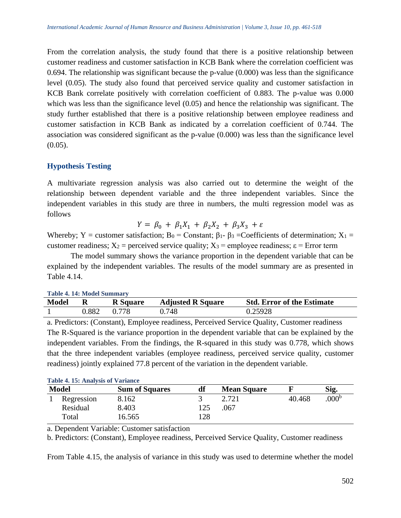From the correlation analysis, the study found that there is a positive relationship between customer readiness and customer satisfaction in KCB Bank where the correlation coefficient was 0.694. The relationship was significant because the p-value (0.000) was less than the significance level (0.05). The study also found that perceived service quality and customer satisfaction in KCB Bank correlate positively with correlation coefficient of 0.883. The p-value was 0.000 which was less than the significance level  $(0.05)$  and hence the relationship was significant. The study further established that there is a positive relationship between employee readiness and customer satisfaction in KCB Bank as indicated by a correlation coefficient of 0.744. The association was considered significant as the p-value (0.000) was less than the significance level  $(0.05)$ .

## **Hypothesis Testing**

A multivariate regression analysis was also carried out to determine the weight of the relationship between dependent variable and the three independent variables. Since the independent variables in this study are three in numbers, the multi regression model was as follows

$$
Y = \beta_0 + \beta_1 X_1 + \beta_2 X_2 + \beta_3 X_3 + \varepsilon
$$

Whereby; Y = customer satisfaction; B<sub>0</sub> = Constant;  $\beta_1$ -  $\beta_3$  = Coefficients of determination; X<sub>1</sub> = customer readiness;  $X_2$  = perceived service quality;  $X_3$  = employee readiness;  $\varepsilon$  = Error term

The model summary shows the variance proportion in the dependent variable that can be explained by the independent variables. The results of the model summary are as presented in Table 4.14.

| Table 4. 14: Model Summary |       |                 |                          |                                   |  |  |  |
|----------------------------|-------|-----------------|--------------------------|-----------------------------------|--|--|--|
| <b>Model</b>               | R     | <b>R</b> Square | <b>Adjusted R Square</b> | <b>Std. Error of the Estimate</b> |  |  |  |
|                            | 0.882 | 0.778           | 0.748                    | 0.25928                           |  |  |  |

a. Predictors: (Constant), Employee readiness, Perceived Service Quality, Customer readiness The R-Squared is the variance proportion in the dependent variable that can be explained by the independent variables. From the findings, the R-squared in this study was 0.778, which shows that the three independent variables (employee readiness, perceived service quality, customer plained 77.8 percent of the variation in the dependent variable.

|              | <b>Table 4. 15: Analysis of Variance</b> |                       |     |                    |        |                  |  |  |  |
|--------------|------------------------------------------|-----------------------|-----|--------------------|--------|------------------|--|--|--|
| <b>Model</b> |                                          | <b>Sum of Squares</b> | df  | <b>Mean Square</b> |        | Sig.             |  |  |  |
|              | Regression                               | 8.162                 |     | 2.721              | 40.468 | 000 <sup>b</sup> |  |  |  |
|              | Residual                                 | 8.403                 | 125 | .067               |        |                  |  |  |  |
|              | Total                                    | 16.565                | 128 |                    |        |                  |  |  |  |

| readiness) jointly explained |  |  |
|------------------------------|--|--|
|------------------------------|--|--|

a. Dependent Variable: Customer satisfaction

b. Predictors: (Constant), Employee readiness, Perceived Service Quality, Customer readiness

From Table 4.15, the analysis of variance in this study was used to determine whether the model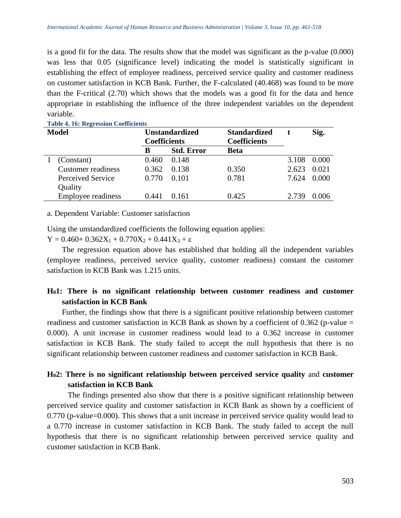is a good fit for the data. The results show that the model was significant as the p-value (0.000) was less that 0.05 (significance level) indicating the model is statistically significant in establishing the effect of employee readiness, perceived service quality and customer readiness on customer satisfaction in KCB Bank. Further, the F-calculated (40.468) was found to be more than the F-critical (2.70) which shows that the models was a good fit for the data and hence appropriate in establishing the influence of the three independent variables on the dependent variable.

| <b>Model</b> |                           | <b>Coefficients</b> | <b>Unstandardized</b> | <b>Standardized</b><br><b>Coefficients</b> |       | Sig.  |  |
|--------------|---------------------------|---------------------|-----------------------|--------------------------------------------|-------|-------|--|
|              |                           | В                   | <b>Std. Error</b>     | <b>Beta</b>                                |       |       |  |
|              | (Constant)                | 0.460               | 0.148                 |                                            | 3.108 | 0.000 |  |
|              | <b>Customer</b> readiness | 0.362               | 0.138                 | 0.350                                      | 2.623 | 0.021 |  |
|              | Perceived Service         | 0.770               | 0.101                 | 0.781                                      | 7.624 | 0.000 |  |
|              | Quality                   |                     |                       |                                            |       |       |  |
|              | Employee readiness        | 0.441               | 0.161                 | 0.425                                      | 2.739 | 0.006 |  |

**Table 4. 16: Regression Coefficients** 

a. Dependent Variable: Customer satisfaction

Using the unstandardized coefficients the following equation applies:

Y =  $0.460+0.362X_1+0.770X_2+0.441X_3+\epsilon$ 

The regression equation above has established that holding all the independent variables (employee readiness, perceived service quality, customer readiness) constant the customer satisfaction in KCB Bank was 1.215 units.

# **H01: There is no significant relationship between customer readiness and customer satisfaction in KCB Bank**

Further, the findings show that there is a significant positive relationship between customer readiness and customer satisfaction in KCB Bank as shown by a coefficient of  $0.362$  (p-value = 0.000). A unit increase in customer readiness would lead to a 0.362 increase in customer satisfaction in KCB Bank. The study failed to accept the null hypothesis that there is no significant relationship between customer readiness and customer satisfaction in KCB Bank.

# **H02: There is no significant relationship between perceived service quality** and **customer satisfaction in KCB Bank**

The findings presented also show that there is a positive significant relationship between perceived service quality and customer satisfaction in KCB Bank as shown by a coefficient of 0.770 (p-value=0.000). This shows that a unit increase in perceived service quality would lead to a 0.770 increase in customer satisfaction in KCB Bank. The study failed to accept the null hypothesis that there is no significant relationship between perceived service quality and customer satisfaction in KCB Bank.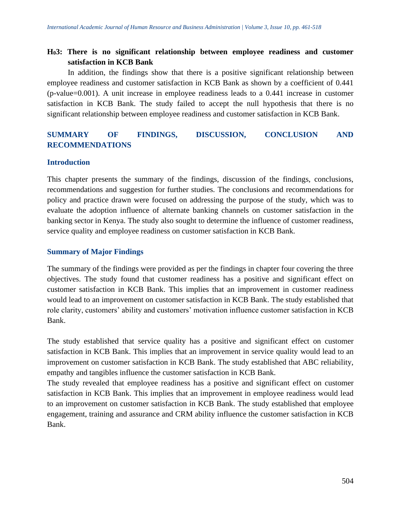# **H03: There is no significant relationship between employee readiness and customer satisfaction in KCB Bank**

In addition, the findings show that there is a positive significant relationship between employee readiness and customer satisfaction in KCB Bank as shown by a coefficient of 0.441 (p-value=0.001). A unit increase in employee readiness leads to a 0.441 increase in customer satisfaction in KCB Bank. The study failed to accept the null hypothesis that there is no significant relationship between employee readiness and customer satisfaction in KCB Bank.

# **SUMMARY OF FINDINGS, DISCUSSION, CONCLUSION AND RECOMMENDATIONS**

## **Introduction**

This chapter presents the summary of the findings, discussion of the findings, conclusions, recommendations and suggestion for further studies. The conclusions and recommendations for policy and practice drawn were focused on addressing the purpose of the study, which was to evaluate the adoption influence of alternate banking channels on customer satisfaction in the banking sector in Kenya. The study also sought to determine the influence of customer readiness, service quality and employee readiness on customer satisfaction in KCB Bank.

## **Summary of Major Findings**

The summary of the findings were provided as per the findings in chapter four covering the three objectives. The study found that customer readiness has a positive and significant effect on customer satisfaction in KCB Bank. This implies that an improvement in customer readiness would lead to an improvement on customer satisfaction in KCB Bank. The study established that role clarity, customers' ability and customers' motivation influence customer satisfaction in KCB Bank.

The study established that service quality has a positive and significant effect on customer satisfaction in KCB Bank. This implies that an improvement in service quality would lead to an improvement on customer satisfaction in KCB Bank. The study established that ABC reliability, empathy and tangibles influence the customer satisfaction in KCB Bank.

The study revealed that employee readiness has a positive and significant effect on customer satisfaction in KCB Bank. This implies that an improvement in employee readiness would lead to an improvement on customer satisfaction in KCB Bank. The study established that employee engagement, training and assurance and CRM ability influence the customer satisfaction in KCB Bank.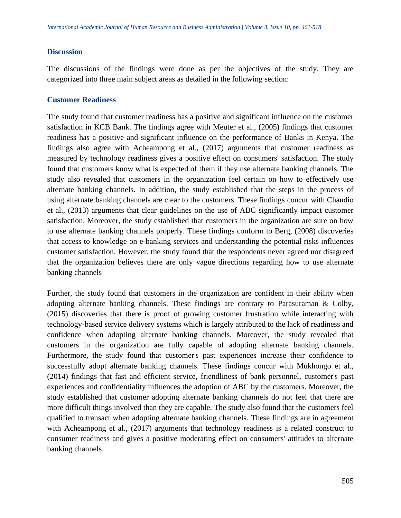#### **Discussion**

The discussions of the findings were done as per the objectives of the study. They are categorized into three main subject areas as detailed in the following section:

#### **Customer Readiness**

The study found that customer readiness has a positive and significant influence on the customer satisfaction in KCB Bank. The findings agree with Meuter et al., (2005) findings that customer readiness has a positive and significant influence on the performance of Banks in Kenya. The findings also agree with Acheampong et al., (2017) arguments that customer readiness as measured by technology readiness gives a positive effect on consumers' satisfaction. The study found that customers know what is expected of them if they use alternate banking channels. The study also revealed that customers in the organization feel certain on how to effectively use alternate banking channels. In addition, the study established that the steps in the process of using alternate banking channels are clear to the customers. These findings concur with Chandio et al., (2013) arguments that clear guidelines on the use of ABC significantly impact customer satisfaction. Moreover, the study established that customers in the organization are sure on how to use alternate banking channels properly. These findings conform to Berg, (2008) discoveries that access to knowledge on e-banking services and understanding the potential risks influences customer satisfaction. However, the study found that the respondents never agreed nor disagreed that the organization believes there are only vague directions regarding how to use alternate banking channels

Further, the study found that customers in the organization are confident in their ability when adopting alternate banking channels. These findings are contrary to Parasuraman & Colby, (2015) discoveries that there is proof of growing customer frustration while interacting with technology-based service delivery systems which is largely attributed to the lack of readiness and confidence when adopting alternate banking channels. Moreover, the study revealed that customers in the organization are fully capable of adopting alternate banking channels. Furthermore, the study found that customer's past experiences increase their confidence to successfully adopt alternate banking channels. These findings concur with Mukhongo et al., (2014) findings that fast and efficient service, friendliness of bank personnel, customer's past experiences and confidentiality influences the adoption of ABC by the customers. Moreover, the study established that customer adopting alternate banking channels do not feel that there are more difficult things involved than they are capable. The study also found that the customers feel qualified to transact when adopting alternate banking channels. These findings are in agreement with Acheampong et al., (2017) arguments that technology readiness is a related construct to consumer readiness and gives a positive moderating effect on consumers' attitudes to alternate banking channels.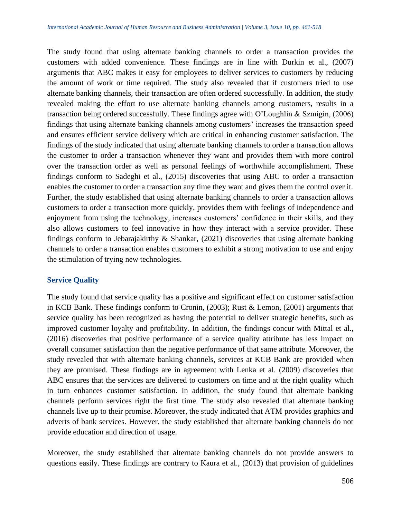The study found that using alternate banking channels to order a transaction provides the customers with added convenience. These findings are in line with Durkin et al., (2007) arguments that ABC makes it easy for employees to deliver services to customers by reducing the amount of work or time required. The study also revealed that if customers tried to use alternate banking channels, their transaction are often ordered successfully. In addition, the study revealed making the effort to use alternate banking channels among customers, results in a transaction being ordered successfully. These findings agree with O'Loughlin & Szmigin, (2006) findings that using alternate banking channels among customers' increases the transaction speed and ensures efficient service delivery which are critical in enhancing customer satisfaction. The findings of the study indicated that using alternate banking channels to order a transaction allows the customer to order a transaction whenever they want and provides them with more control over the transaction order as well as personal feelings of worthwhile accomplishment. These findings conform to Sadeghi et al., (2015) discoveries that using ABC to order a transaction enables the customer to order a transaction any time they want and gives them the control over it. Further, the study established that using alternate banking channels to order a transaction allows customers to order a transaction more quickly, provides them with feelings of independence and enjoyment from using the technology, increases customers' confidence in their skills, and they also allows customers to feel innovative in how they interact with a service provider. These findings conform to Jebarajakirthy  $\&$  Shankar, (2021) discoveries that using alternate banking channels to order a transaction enables customers to exhibit a strong motivation to use and enjoy the stimulation of trying new technologies.

## **Service Quality**

The study found that service quality has a positive and significant effect on customer satisfaction in KCB Bank. These findings conform to Cronin, (2003); Rust & Lemon, (2001) arguments that service quality has been recognized as having the potential to deliver strategic benefits, such as improved customer loyalty and profitability. In addition, the findings concur with Mittal et al., (2016) discoveries that positive performance of a service quality attribute has less impact on overall consumer satisfaction than the negative performance of that same attribute. Moreover, the study revealed that with alternate banking channels, services at KCB Bank are provided when they are promised. These findings are in agreement with Lenka et al. (2009) discoveries that ABC ensures that the services are delivered to customers on time and at the right quality which in turn enhances customer satisfaction. In addition, the study found that alternate banking channels perform services right the first time. The study also revealed that alternate banking channels live up to their promise. Moreover, the study indicated that ATM provides graphics and adverts of bank services. However, the study established that alternate banking channels do not provide education and direction of usage.

Moreover, the study established that alternate banking channels do not provide answers to questions easily. These findings are contrary to Kaura et al., (2013) that provision of guidelines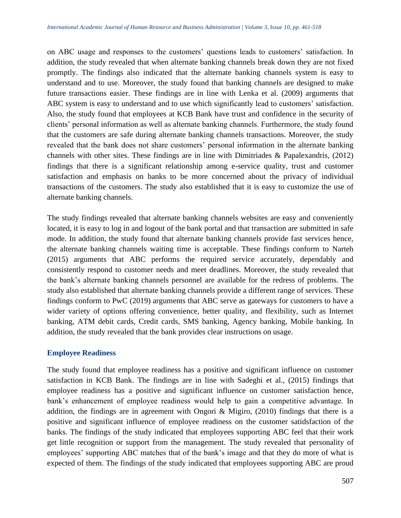on ABC usage and responses to the customers' questions leads to customers' satisfaction. In addition, the study revealed that when alternate banking channels break down they are not fixed promptly. The findings also indicated that the alternate banking channels system is easy to understand and to use. Moreover, the study found that banking channels are designed to make future transactions easier. These findings are in line with Lenka et al. (2009) arguments that ABC system is easy to understand and to use which significantly lead to customers' satisfaction. Also, the study found that employees at KCB Bank have trust and confidence in the security of clients' personal information as well as alternate banking channels. Furthermore, the study found that the customers are safe during alternate banking channels transactions. Moreover, the study revealed that the bank does not share customers' personal information in the alternate banking channels with other sites. These findings are in line with Dimitriades & Papalexandris, (2012) findings that there is a significant relationship among e-service quality, trust and customer satisfaction and emphasis on banks to be more concerned about the privacy of individual transactions of the customers. The study also established that it is easy to customize the use of alternate banking channels.

The study findings revealed that alternate banking channels websites are easy and conveniently located, it is easy to log in and logout of the bank portal and that transaction are submitted in safe mode. In addition, the study found that alternate banking channels provide fast services hence, the alternate banking channels waiting time is acceptable. These findings conform to Narteh (2015) arguments that ABC performs the required service accurately, dependably and consistently respond to customer needs and meet deadlines. Moreover, the study revealed that the bank's alternate banking channels personnel are available for the redress of problems. The study also established that alternate banking channels provide a different range of services. These findings conform to PwC (2019) arguments that ABC serve as gateways for customers to have a wider variety of options offering convenience, better quality, and flexibility, such as Internet banking, ATM debit cards, Credit cards, SMS banking, Agency banking, Mobile banking. In addition, the study revealed that the bank provides clear instructions on usage.

## **Employee Readiness**

The study found that employee readiness has a positive and significant influence on customer satisfaction in KCB Bank. The findings are in line with Sadeghi et al., (2015) findings that employee readiness has a positive and significant influence on customer satisfaction hence, bank's enhancement of employee readiness would help to gain a competitive advantage. In addition, the findings are in agreement with Ongori & Migiro, (2010) findings that there is a positive and significant influence of employee readiness on the customer satidsfaction of the banks. The findings of the study indicated that employees supporting ABC feel that their work get little recognition or support from the management. The study revealed that personality of employees' supporting ABC matches that of the bank's image and that they do more of what is expected of them. The findings of the study indicated that employees supporting ABC are proud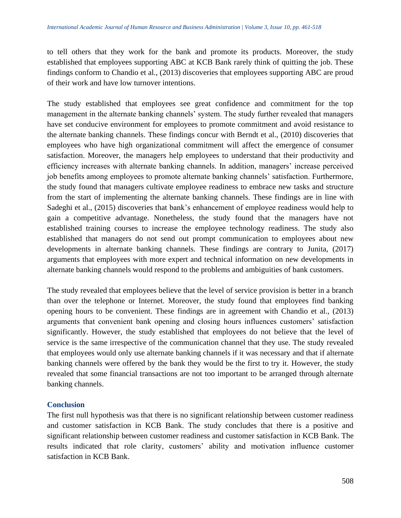to tell others that they work for the bank and promote its products. Moreover, the study established that employees supporting ABC at KCB Bank rarely think of quitting the job. These findings conform to Chandio et al., (2013) discoveries that employees supporting ABC are proud of their work and have low turnover intentions.

The study established that employees see great confidence and commitment for the top management in the alternate banking channels' system. The study further revealed that managers have set conducive environment for employees to promote commitment and avoid resistance to the alternate banking channels. These findings concur with Berndt et al., (2010) discoveries that employees who have high organizational commitment will affect the emergence of consumer satisfaction. Moreover, the managers help employees to understand that their productivity and efficiency increases with alternate banking channels. In addition, managers' increase perceived job benefits among employees to promote alternate banking channels' satisfaction. Furthermore, the study found that managers cultivate employee readiness to embrace new tasks and structure from the start of implementing the alternate banking channels. These findings are in line with Sadeghi et al., (2015) discoveries that bank's enhancement of employee readiness would help to gain a competitive advantage. Nonetheless, the study found that the managers have not established training courses to increase the employee technology readiness. The study also established that managers do not send out prompt communication to employees about new developments in alternate banking channels. These findings are contrary to Junita, (2017) arguments that employees with more expert and technical information on new developments in alternate banking channels would respond to the problems and ambiguities of bank customers.

The study revealed that employees believe that the level of service provision is better in a branch than over the telephone or Internet. Moreover, the study found that employees find banking opening hours to be convenient. These findings are in agreement with Chandio et al., (2013) arguments that convenient bank opening and closing hours influences customers' satisfaction significantly. However, the study established that employees do not believe that the level of service is the same irrespective of the communication channel that they use. The study revealed that employees would only use alternate banking channels if it was necessary and that if alternate banking channels were offered by the bank they would be the first to try it. However, the study revealed that some financial transactions are not too important to be arranged through alternate banking channels.

# **Conclusion**

The first null hypothesis was that there is no significant relationship between customer readiness and customer satisfaction in KCB Bank. The study concludes that there is a positive and significant relationship between customer readiness and customer satisfaction in KCB Bank. The results indicated that role clarity, customers' ability and motivation influence customer satisfaction in KCB Bank.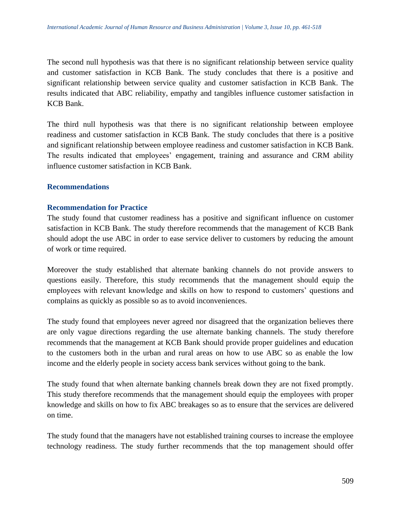The second null hypothesis was that there is no significant relationship between service quality and customer satisfaction in KCB Bank. The study concludes that there is a positive and significant relationship between service quality and customer satisfaction in KCB Bank. The results indicated that ABC reliability, empathy and tangibles influence customer satisfaction in KCB Bank.

The third null hypothesis was that there is no significant relationship between employee readiness and customer satisfaction in KCB Bank. The study concludes that there is a positive and significant relationship between employee readiness and customer satisfaction in KCB Bank. The results indicated that employees' engagement, training and assurance and CRM ability influence customer satisfaction in KCB Bank.

## **Recommendations**

#### **Recommendation for Practice**

The study found that customer readiness has a positive and significant influence on customer satisfaction in KCB Bank. The study therefore recommends that the management of KCB Bank should adopt the use ABC in order to ease service deliver to customers by reducing the amount of work or time required.

Moreover the study established that alternate banking channels do not provide answers to questions easily. Therefore, this study recommends that the management should equip the employees with relevant knowledge and skills on how to respond to customers' questions and complains as quickly as possible so as to avoid inconveniences.

The study found that employees never agreed nor disagreed that the organization believes there are only vague directions regarding the use alternate banking channels. The study therefore recommends that the management at KCB Bank should provide proper guidelines and education to the customers both in the urban and rural areas on how to use ABC so as enable the low income and the elderly people in society access bank services without going to the bank.

The study found that when alternate banking channels break down they are not fixed promptly. This study therefore recommends that the management should equip the employees with proper knowledge and skills on how to fix ABC breakages so as to ensure that the services are delivered on time.

The study found that the managers have not established training courses to increase the employee technology readiness. The study further recommends that the top management should offer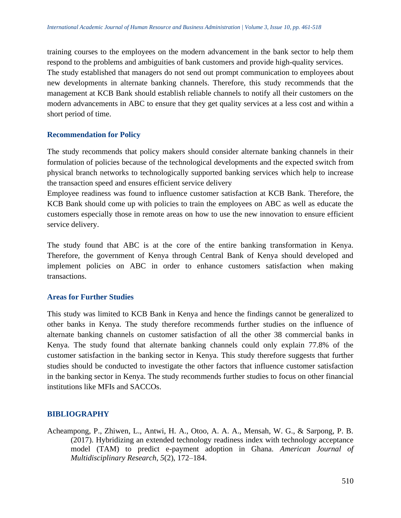training courses to the employees on the modern advancement in the bank sector to help them respond to the problems and ambiguities of bank customers and provide high-quality services. The study established that managers do not send out prompt communication to employees about new developments in alternate banking channels. Therefore, this study recommends that the management at KCB Bank should establish reliable channels to notify all their customers on the modern advancements in ABC to ensure that they get quality services at a less cost and within a short period of time.

#### **Recommendation for Policy**

The study recommends that policy makers should consider alternate banking channels in their formulation of policies because of the technological developments and the expected switch from physical branch networks to technologically supported banking services which help to increase the transaction speed and ensures efficient service delivery

Employee readiness was found to influence customer satisfaction at KCB Bank. Therefore, the KCB Bank should come up with policies to train the employees on ABC as well as educate the customers especially those in remote areas on how to use the new innovation to ensure efficient service delivery.

The study found that ABC is at the core of the entire banking transformation in Kenya. Therefore, the government of Kenya through Central Bank of Kenya should developed and implement policies on ABC in order to enhance customers satisfaction when making transactions.

#### **Areas for Further Studies**

This study was limited to KCB Bank in Kenya and hence the findings cannot be generalized to other banks in Kenya. The study therefore recommends further studies on the influence of alternate banking channels on customer satisfaction of all the other 38 commercial banks in Kenya. The study found that alternate banking channels could only explain 77.8% of the customer satisfaction in the banking sector in Kenya. This study therefore suggests that further studies should be conducted to investigate the other factors that influence customer satisfaction in the banking sector in Kenya. The study recommends further studies to focus on other financial institutions like MFIs and SACCOs.

#### **BIBLIOGRAPHY**

Acheampong, P., Zhiwen, L., Antwi, H. A., Otoo, A. A. A., Mensah, W. G., & Sarpong, P. B. (2017). Hybridizing an extended technology readiness index with technology acceptance model (TAM) to predict e-payment adoption in Ghana. *American Journal of Multidisciplinary Research*, *5*(2), 172–184.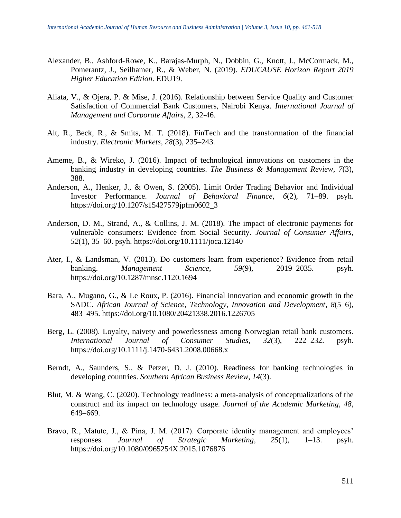- Alexander, B., Ashford-Rowe, K., Barajas-Murph, N., Dobbin, G., Knott, J., McCormack, M., Pomerantz, J., Seilhamer, R., & Weber, N. (2019). *EDUCAUSE Horizon Report 2019 Higher Education Edition*. EDU19.
- Aliata, V., & Ojera, P. & Mise, J. (2016). Relationship between Service Quality and Customer Satisfaction of Commercial Bank Customers, Nairobi Kenya. *International Journal of Management and Corporate Affairs, 2*, 32-46.
- Alt, R., Beck, R., & Smits, M. T. (2018). FinTech and the transformation of the financial industry. *Electronic Markets*, *28*(3), 235–243.
- Ameme, B., & Wireko, J. (2016). Impact of technological innovations on customers in the banking industry in developing countries. *The Business & Management Review*, *7*(3), 388.
- Anderson, A., Henker, J., & Owen, S. (2005). Limit Order Trading Behavior and Individual Investor Performance. *Journal of Behavioral Finance*, *6*(2), 71–89. psyh. https://doi.org/10.1207/s15427579jpfm0602\_3
- Anderson, D. M., Strand, A., & Collins, J. M. (2018). The impact of electronic payments for vulnerable consumers: Evidence from Social Security. *Journal of Consumer Affairs*, *52*(1), 35–60. psyh. https://doi.org/10.1111/joca.12140
- Ater, I., & Landsman, V. (2013). Do customers learn from experience? Evidence from retail banking. *Management Science*, *59*(9), 2019–2035. psyh. https://doi.org/10.1287/mnsc.1120.1694
- Bara, A., Mugano, G., & Le Roux, P. (2016). Financial innovation and economic growth in the SADC. *African Journal of Science, Technology, Innovation and Development*, *8*(5–6), 483–495. https://doi.org/10.1080/20421338.2016.1226705
- Berg, L. (2008). Loyalty, naivety and powerlessness among Norwegian retail bank customers. *International Journal of Consumer Studies*, *32*(3), 222–232. psyh. https://doi.org/10.1111/j.1470-6431.2008.00668.x
- Berndt, A., Saunders, S., & Petzer, D. J. (2010). Readiness for banking technologies in developing countries. *Southern African Business Review*, *14*(3).
- Blut, M. & Wang, C. (2020). Technology readiness: a meta-analysis of conceptualizations of the construct and its impact on technology usage. *Journal of the Academic Marketing, 48*, 649–669.
- Bravo, R., Matute, J., & Pina, J. M. (2017). Corporate identity management and employees' responses. *Journal of Strategic Marketing*, *25*(1), 1–13. psyh. https://doi.org/10.1080/0965254X.2015.1076876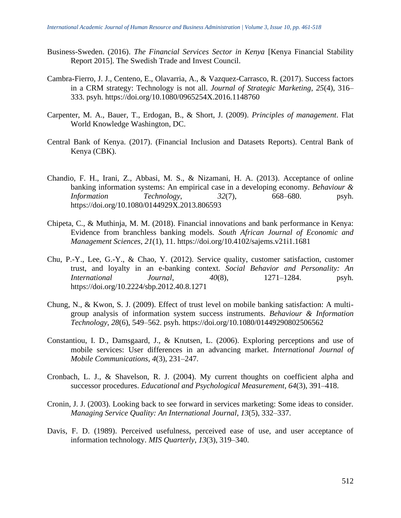- Business-Sweden. (2016). *The Financial Services Sector in Kenya* [Kenya Financial Stability Report 2015]. The Swedish Trade and Invest Council.
- Cambra-Fierro, J. J., Centeno, E., Olavarria, A., & Vazquez-Carrasco, R. (2017). Success factors in a CRM strategy: Technology is not all. *Journal of Strategic Marketing*, *25*(4), 316– 333. psyh. https://doi.org/10.1080/0965254X.2016.1148760
- Carpenter, M. A., Bauer, T., Erdogan, B., & Short, J. (2009). *Principles of management*. Flat World Knowledge Washington, DC.
- Central Bank of Kenya. (2017). (Financial Inclusion and Datasets Reports). Central Bank of Kenya (CBK).
- Chandio, F. H., Irani, Z., Abbasi, M. S., & Nizamani, H. A. (2013). Acceptance of online banking information systems: An empirical case in a developing economy. *Behaviour & Information Technology*, *32*(7), 668–680. psyh. https://doi.org/10.1080/0144929X.2013.806593
- Chipeta, C., & Muthinja, M. M. (2018). Financial innovations and bank performance in Kenya: Evidence from branchless banking models. *South African Journal of Economic and Management Sciences*, *21*(1), 11. https://doi.org/10.4102/sajems.v21i1.1681
- Chu, P.-Y., Lee, G.-Y., & Chao, Y. (2012). Service quality, customer satisfaction, customer trust, and loyalty in an e-banking context. *Social Behavior and Personality: An International Journal*, *40*(8), 1271–1284. psyh. https://doi.org/10.2224/sbp.2012.40.8.1271
- Chung, N., & Kwon, S. J. (2009). Effect of trust level on mobile banking satisfaction: A multigroup analysis of information system success instruments. *Behaviour & Information Technology*, *28*(6), 549–562. psyh. https://doi.org/10.1080/01449290802506562
- Constantiou, I. D., Damsgaard, J., & Knutsen, L. (2006). Exploring perceptions and use of mobile services: User differences in an advancing market. *International Journal of Mobile Communications*, *4*(3), 231–247.
- Cronbach, L. J., & Shavelson, R. J. (2004). My current thoughts on coefficient alpha and successor procedures. *Educational and Psychological Measurement*, *64*(3), 391–418.
- Cronin, J. J. (2003). Looking back to see forward in services marketing: Some ideas to consider. *Managing Service Quality: An International Journal*, *13*(5), 332–337.
- Davis, F. D. (1989). Perceived usefulness, perceived ease of use, and user acceptance of information technology. *MIS Quarterly*, *13*(3), 319–340.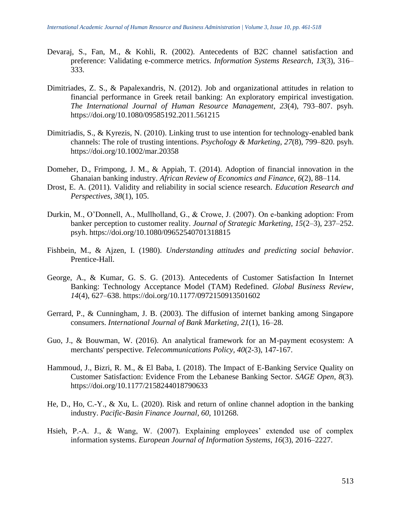- Devaraj, S., Fan, M., & Kohli, R. (2002). Antecedents of B2C channel satisfaction and preference: Validating e-commerce metrics. *Information Systems Research*, *13*(3), 316– 333.
- Dimitriades, Z. S., & Papalexandris, N. (2012). Job and organizational attitudes in relation to financial performance in Greek retail banking: An exploratory empirical investigation. *The International Journal of Human Resource Management*, *23*(4), 793–807. psyh. https://doi.org/10.1080/09585192.2011.561215
- Dimitriadis, S., & Kyrezis, N. (2010). Linking trust to use intention for technology-enabled bank channels: The role of trusting intentions. *Psychology & Marketing*, *27*(8), 799–820. psyh. https://doi.org/10.1002/mar.20358
- Domeher, D., Frimpong, J. M., & Appiah, T. (2014). Adoption of financial innovation in the Ghanaian banking industry. *African Review of Economics and Finance*, *6*(2), 88–114.
- Drost, E. A. (2011). Validity and reliability in social science research. *Education Research and Perspectives*, *38*(1), 105.
- Durkin, M., O'Donnell, A., Mullholland, G., & Crowe, J. (2007). On e-banking adoption: From banker perception to customer reality. *Journal of Strategic Marketing*, *15*(2–3), 237–252. psyh. https://doi.org/10.1080/09652540701318815
- Fishbein, M., & Ajzen, I. (1980). *Understanding attitudes and predicting social behavior*. Prentice-Hall.
- George, A., & Kumar, G. S. G. (2013). Antecedents of Customer Satisfaction In Internet Banking: Technology Acceptance Model (TAM) Redefined. *Global Business Review*, *14*(4), 627–638. https://doi.org/10.1177/0972150913501602
- Gerrard, P., & Cunningham, J. B. (2003). The diffusion of internet banking among Singapore consumers. *International Journal of Bank Marketing*, *21*(1), 16–28.
- Guo, J., & Bouwman, W. (2016). An analytical framework for an M-payment ecosystem: A merchants' perspective. *Telecommunications Policy, 40*(2-3), 147-167.
- Hammoud, J., Bizri, R. M., & El Baba, I. (2018). The Impact of E-Banking Service Quality on Customer Satisfaction: Evidence From the Lebanese Banking Sector. *SAGE Open*, *8*(3). https://doi.org/10.1177/2158244018790633
- He, D., Ho, C.-Y., & Xu, L. (2020). Risk and return of online channel adoption in the banking industry. *Pacific-Basin Finance Journal*, *60*, 101268.
- Hsieh, P.-A. J., & Wang, W. (2007). Explaining employees' extended use of complex information systems. *European Journal of Information Systems*, *16*(3), 2016–2227.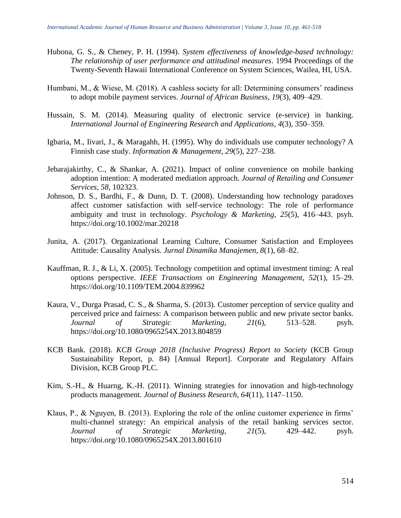- Hubona, G. S., & Cheney, P. H. (1994). *System effectiveness of knowledge-based technology: The relationship of user performance and attitudinal measures*. 1994 Proceedings of the Twenty-Seventh Hawaii International Conference on System Sciences, Wailea, HI, USA.
- Humbani, M., & Wiese, M. (2018). A cashless society for all: Determining consumers' readiness to adopt mobile payment services. *Journal of African Business*, *19*(3), 409–429.
- Hussain, S. M. (2014). Measuring quality of electronic service (e-service) in banking. *International Journal of Engineering Research and Applications*, *4*(3), 350–359.
- Igbaria, M., Iivari, J., & Maragahh, H. (1995). Why do individuals use computer technology? A Finnish case study. *Information & Management*, *29*(5), 227–238.
- Jebarajakirthy, C., & Shankar, A. (2021). Impact of online convenience on mobile banking adoption intention: A moderated mediation approach. *Journal of Retailing and Consumer Services*, *58*, 102323.
- Johnson, D. S., Bardhi, F., & Dunn, D. T. (2008). Understanding how technology paradoxes affect customer satisfaction with self-service technology: The role of performance ambiguity and trust in technology. *Psychology & Marketing*, *25*(5), 416–443. psyh. https://doi.org/10.1002/mar.20218
- Junita, A. (2017). Organizational Learning Culture, Consumer Satisfaction and Employees Attitude: Causality Analysis. *Jurnal Dinamika Manajemen*, *8*(1), 68–82.
- Kauffman, R. J., & Li, X. (2005). Technology competition and optimal investment timing: A real options perspective. *IEEE Transactions on Engineering Management*, *52*(1), 15–29. https://doi.org/10.1109/TEM.2004.839962
- Kaura, V., Durga Prasad, C. S., & Sharma, S. (2013). Customer perception of service quality and perceived price and fairness: A comparison between public and new private sector banks. *Journal of Strategic Marketing*, *21*(6), 513–528. psyh. https://doi.org/10.1080/0965254X.2013.804859
- KCB Bank. (2018). *KCB Group 2018 (Inclusive Progress) Report to Society* (KCB Group Sustainability Report, p. 84) [Annual Report]. Corporate and Regulatory Affairs Division, KCB Group PLC.
- Kim, S.-H., & Huarng, K.-H. (2011). Winning strategies for innovation and high-technology products management. *Journal of Business Research*, *64*(11), 1147–1150.
- Klaus, P., & Nguyen, B. (2013). Exploring the role of the online customer experience in firms' multi-channel strategy: An empirical analysis of the retail banking services sector. *Journal of Strategic Marketing*, *21*(5), 429–442. psyh. https://doi.org/10.1080/0965254X.2013.801610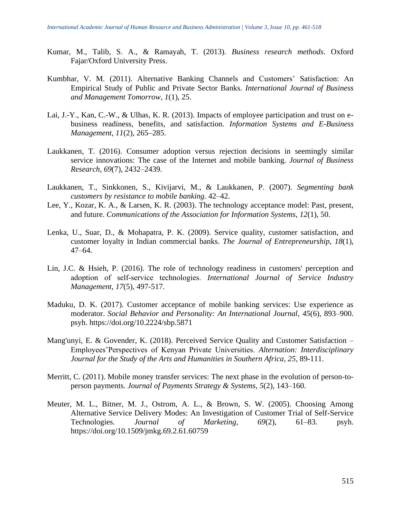- Kumar, M., Talib, S. A., & Ramayah, T. (2013). *Business research methods*. Oxford Fajar/Oxford University Press.
- Kumbhar, V. M. (2011). Alternative Banking Channels and Customers' Satisfaction: An Empirical Study of Public and Private Sector Banks. *International Journal of Business and Management Tomorrow*, *1*(1), 25.
- Lai, J.-Y., Kan, C.-W., & Ulhas, K. R. (2013). Impacts of employee participation and trust on ebusiness readiness, benefits, and satisfaction. *Information Systems and E-Business Management*, *11*(2), 265–285.
- Laukkanen, T. (2016). Consumer adoption versus rejection decisions in seemingly similar service innovations: The case of the Internet and mobile banking. *Journal of Business Research*, *69*(7), 2432–2439.
- Laukkanen, T., Sinkkonen, S., Kivijarvi, M., & Laukkanen, P. (2007). *Segmenting bank customers by resistance to mobile banking*. 42–42.
- Lee, Y., Kozar, K. A., & Larsen, K. R. (2003). The technology acceptance model: Past, present, and future. *Communications of the Association for Information Systems*, *12*(1), 50.
- Lenka, U., Suar, D., & Mohapatra, P. K. (2009). Service quality, customer satisfaction, and customer loyalty in Indian commercial banks. *The Journal of Entrepreneurship*, *18*(1), 47–64.
- Lin, J.C. & Hsieh, P. (2016). The role of technology readiness in customers' perception and adoption of self‐service technologies. *International Journal of Service Industry Management, 17*(5), 497-517.
- Maduku, D. K. (2017). Customer acceptance of mobile banking services: Use experience as moderator. *Social Behavior and Personality: An International Journal*, *45*(6), 893–900. psyh. https://doi.org/10.2224/sbp.5871
- Mang'unyi, E. & Govender, K. (2018). Perceived Service Quality and Customer Satisfaction Employees'Perspectives of Kenyan Private Universities. *Alternation: Interdisciplinary Journal for the Study of the Arts and Humanities in Southern Africa, 25*, 89-111.
- Merritt, C. (2011). Mobile money transfer services: The next phase in the evolution of person-toperson payments. *Journal of Payments Strategy & Systems*, *5*(2), 143–160.
- Meuter, M. L., Bitner, M. J., Ostrom, A. L., & Brown, S. W. (2005). Choosing Among Alternative Service Delivery Modes: An Investigation of Customer Trial of Self-Service Technologies. *Journal of Marketing*, *69*(2), 61–83. psyh. https://doi.org/10.1509/jmkg.69.2.61.60759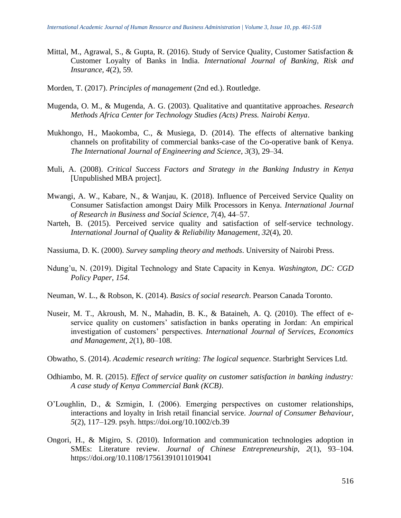- Mittal, M., Agrawal, S., & Gupta, R. (2016). Study of Service Quality, Customer Satisfaction & Customer Loyalty of Banks in India. *International Journal of Banking, Risk and Insurance*, *4*(2), 59.
- Morden, T. (2017). *Principles of management* (2nd ed.). Routledge.
- Mugenda, O. M., & Mugenda, A. G. (2003). Qualitative and quantitative approaches. *Research Methods Africa Center for Technology Studies (Acts) Press. Nairobi Kenya*.
- Mukhongo, H., Maokomba, C., & Musiega, D. (2014). The effects of alternative banking channels on profitability of commercial banks-case of the Co-operative bank of Kenya. *The International Journal of Engineering and Science*, *3*(3), 29–34.
- Muli, A. (2008). *Critical Success Factors and Strategy in the Banking Industry in Kenya* [Unpublished MBA project].
- Mwangi, A. W., Kabare, N., & Wanjau, K. (2018). Influence of Perceived Service Quality on Consumer Satisfaction amongst Dairy Milk Processors in Kenya. *International Journal of Research in Business and Social Science, 7*(4), 44–57.
- Narteh, B. (2015). Perceived service quality and satisfaction of self-service technology. *International Journal of Quality & Reliability Management*, *32*(4), 20.
- Nassiuma, D. K. (2000). *Survey sampling theory and methods*. University of Nairobi Press.
- Ndung'u, N. (2019). Digital Technology and State Capacity in Kenya. *Washington, DC: CGD Policy Paper*, *154*.
- Neuman, W. L., & Robson, K. (2014). *Basics of social research*. Pearson Canada Toronto.
- Nuseir, M. T., Akroush, M. N., Mahadin, B. K., & Bataineh, A. Q. (2010). The effect of eservice quality on customers' satisfaction in banks operating in Jordan: An empirical investigation of customers' perspectives. *International Journal of Services, Economics and Management*, *2*(1), 80–108.
- Obwatho, S. (2014). *Academic research writing: The logical sequence*. Starbright Services Ltd.
- Odhiambo, M. R. (2015). *Effect of service quality on customer satisfaction in banking industry: A case study of Kenya Commercial Bank (KCB)*.
- O'Loughlin, D., & Szmigin, I. (2006). Emerging perspectives on customer relationships, interactions and loyalty in Irish retail financial service. *Journal of Consumer Behaviour*, *5*(2), 117–129. psyh. https://doi.org/10.1002/cb.39
- Ongori, H., & Migiro, S. (2010). Information and communication technologies adoption in SMEs: Literature review. *Journal of Chinese Entrepreneurship*, *2*(1), 93–104. https://doi.org/10.1108/17561391011019041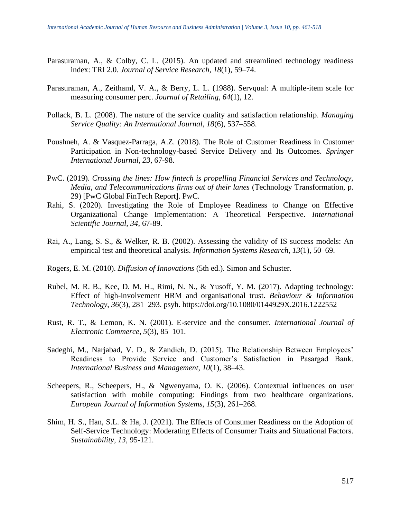- Parasuraman, A., & Colby, C. L. (2015). An updated and streamlined technology readiness index: TRI 2.0. *Journal of Service Research*, *18*(1), 59–74.
- Parasuraman, A., Zeithaml, V. A., & Berry, L. L. (1988). Servqual: A multiple-item scale for measuring consumer perc. *Journal of Retailing*, *64*(1), 12.
- Pollack, B. L. (2008). The nature of the service quality and satisfaction relationship. *Managing Service Quality: An International Journal*, *18*(6), 537–558.
- Poushneh, A. & Vasquez-Parraga, A.Z. (2018). The Role of Customer Readiness in Customer Participation in Non-technology-based Service Delivery and Its Outcomes. *Springer International Journal, 23*, 67-98.
- PwC. (2019). *Crossing the lines: How fintech is propelling Financial Services and Technology, Media, and Telecommunications firms out of their lanes* (Technology Transformation, p. 29) [PwC Global FinTech Report]. PwC.
- Rahi, S. (2020). Investigating the Role of Employee Readiness to Change on Effective Organizational Change Implementation: A Theoretical Perspective. *International Scientific Journal, 34*, 67-89.
- Rai, A., Lang, S. S., & Welker, R. B. (2002). Assessing the validity of IS success models: An empirical test and theoretical analysis. *Information Systems Research*, *13*(1), 50–69.
- Rogers, E. M. (2010). *Diffusion of Innovations* (5th ed.). Simon and Schuster.
- Rubel, M. R. B., Kee, D. M. H., Rimi, N. N., & Yusoff, Y. M. (2017). Adapting technology: Effect of high-involvement HRM and organisational trust. *Behaviour & Information Technology*, *36*(3), 281–293. psyh. https://doi.org/10.1080/0144929X.2016.1222552
- Rust, R. T., & Lemon, K. N. (2001). E-service and the consumer. *International Journal of Electronic Commerce*, *5*(3), 85–101.
- Sadeghi, M., Narjabad, V. D., & Zandieh, D. (2015). The Relationship Between Employees' Readiness to Provide Service and Customer's Satisfaction in Pasargad Bank. *International Business and Management*, *10*(1), 38–43.
- Scheepers, R., Scheepers, H., & Ngwenyama, O. K. (2006). Contextual influences on user satisfaction with mobile computing: Findings from two healthcare organizations. *European Journal of Information Systems*, *15*(3), 261–268.
- Shim, H. S., Han, S.L. & Ha, J. (2021). The Effects of Consumer Readiness on the Adoption of Self-Service Technology: Moderating Effects of Consumer Traits and Situational Factors. *Sustainability, 13*, 95-121.